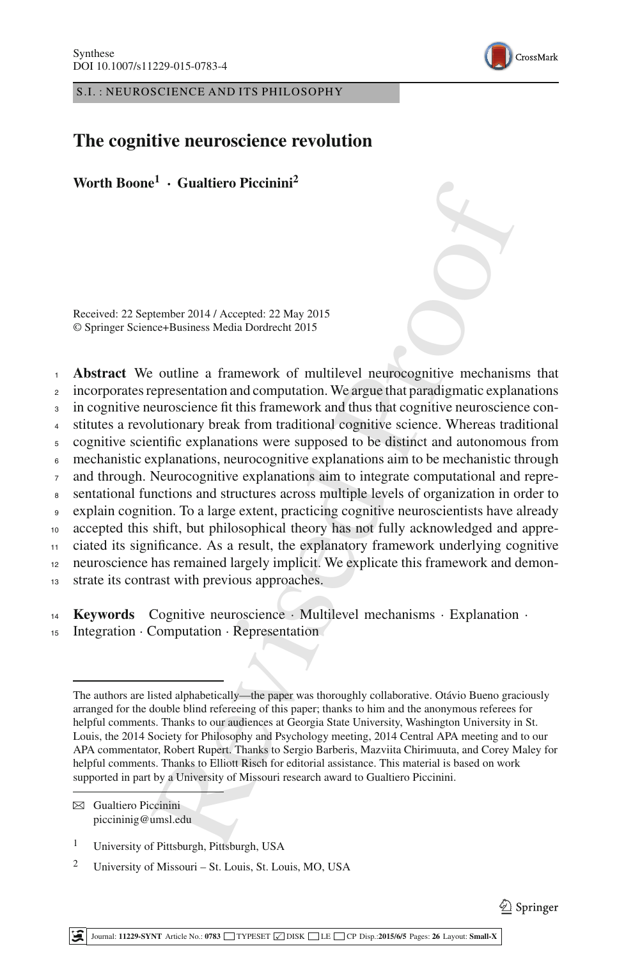

S.I. : NEUROSCIENCE AND ITS PHILOSOPHY

# **The cognitive neuroscience revolution**

**Worth Boone1 · Gualtiero Piccinini<sup>2</sup>**

Received: 22 September 2014 / Accepted: 22 May 2015 © Springer Science+Business Media Dordrecht 2015

et and the method of the method of the method of the method of the properties of the properties of the properties and computation and computation. We argue that paradigmatic explarements expressed the this framework and th **Abstract** We outline a framework of multilevel neurocognitive mechanisms that incorporates representation and computation. We argue that paradigmatic explanations in cognitive neuroscience fit this framework and thus that cognitive neuroscience con- stitutes a revolutionary break from traditional cognitive science. Whereas traditional cognitive scientific explanations were supposed to be distinct and autonomous from mechanistic explanations, neurocognitive explanations aim to be mechanistic through and through. Neurocognitive explanations aim to integrate computational and repre- sentational functions and structures across multiple levels of organization in order to explain cognition. To a large extent, practicing cognitive neuroscientists have already accepted this shift, but philosophical theory has not fully acknowledged and appre- ciated its significance. As a result, the explanatory framework underlying cognitive neuroscience has remained largely implicit. We explicate this framework and demon-strate its contrast with previous approaches.

<sup>14</sup> **Keywords** Cognitive neuroscience · Multilevel mechanisms · Explanation ·

<sup>15</sup> Integration · Computation · Representation

B Gualtiero Piccinini piccininig@umsl.edu

- <sup>1</sup> University of Pittsburgh, Pittsburgh, USA
- <sup>2</sup> University of Missouri St. Louis, St. Louis, MO, USA

The authors are listed alphabetically—the paper was thoroughly collaborative. Otávio Bueno graciously arranged for the double blind refereeing of this paper; thanks to him and the anonymous referees for helpful comments. Thanks to our audiences at Georgia State University, Washington University in St. Louis, the 2014 Society for Philosophy and Psychology meeting, 2014 Central APA meeting and to our APA commentator, Robert Rupert. Thanks to Sergio Barberis, Mazviita Chirimuuta, and Corey Maley for helpful comments. Thanks to Elliott Risch for editorial assistance. This material is based on work supported in part by a University of Missouri research award to Gualtiero Piccinini.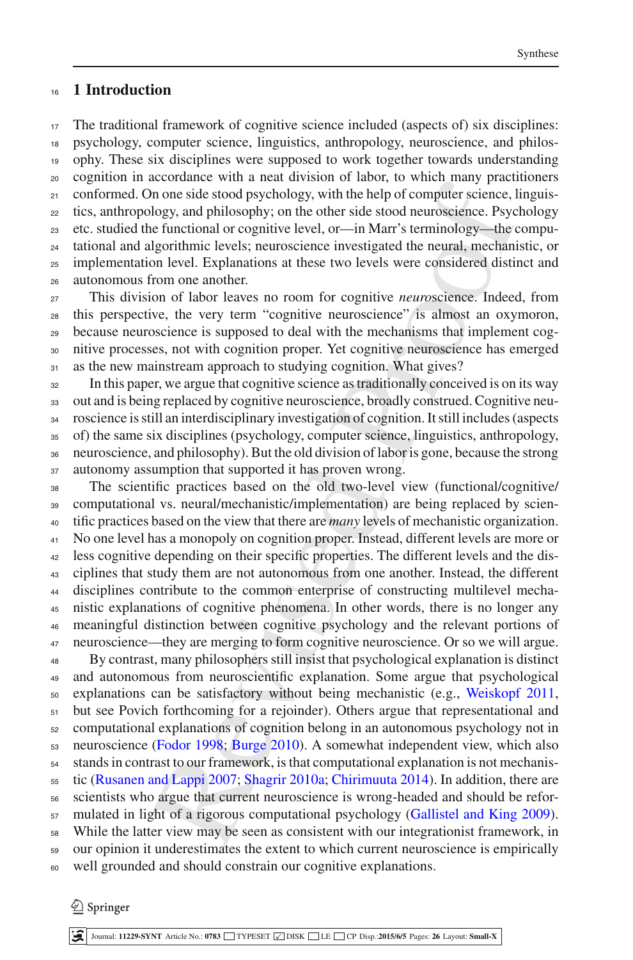## **1 Introduction**

 The traditional framework of cognitive science included (aspects of) six disciplines: psychology, computer science, linguistics, anthropology, neuroscience, and philos- ophy. These six disciplines were supposed to work together towards understanding cognition in accordance with a neat division of labor, to which many practitioners  $_{21}$  conformed. On one side stood psychology, with the help of computer science, linguis- tics, anthropology, and philosophy; on the other side stood neuroscience. Psychology etc. studied the functional or cognitive level, or—in Marr's terminology—the compu- tational and algorithmic levels; neuroscience investigated the neural, mechanistic, or implementation level. Explanations at these two levels were considered distinct and autonomous from one another.

 This division of labor leaves no room for cognitive *neuro*science. Indeed, from this perspective, the very term "cognitive neuroscience" is almost an oxymoron, because neuroscience is supposed to deal with the mechanisms that implement cog- nitive processes, not with cognition proper. Yet cognitive neuroscience has emerged 31 as the new mainstream approach to studying cognition. What gives?

 In this paper, we argue that cognitive science as traditionally conceived is on its way out and is being replaced by cognitive neuroscience, broadly construed. Cognitive neu- roscience is still an interdisciplinary investigation of cognition. It still includes (aspects of) the same six disciplines (psychology, computer science, linguistics, anthropology, neuroscience, and philosophy). But the old division of labor is gone, because the strong 37 autonomy assumption that supported it has proven wrong.

absorb and philosophy, on th[e](#page-22-1) other side at one and product and product an one side stood psychology, with the help of computer science, Psychopy, and philosophy, on the other side stood peurcosinece. Psychamic levels, neu The scientific practices based on the old two-level view (functional/cognitive/ computational vs. neural/mechanistic/implementation) are being replaced by scien- tific practices based on the view that there are *many* levels of mechanistic organization. No one level has a monopoly on cognition proper. Instead, different levels are more or less cognitive depending on their specific properties. The different levels and the dis- ciplines that study them are not autonomous from one another. Instead, the different disciplines contribute to the common enterprise of constructing multilevel mecha- nistic explanations of cognitive phenomena. In other words, there is no longer any meaningful distinction between cognitive psychology and the relevant portions of neuroscience—they are merging to form cognitive neuroscience. Or so we will argue. By contrast, many philosophers still insist that psychological explanation is distinct and autonomous from neuroscientific explanation. Some argue that psychological explanations can be satisfactory without being mechanistic (e.g., [Weiskopf 2011,](#page-25-0) but see Povich forthcoming for a rejoinder). Others argue that representational and computational explanations of cognition belong in an autonomous psychology not in neuroscience (Fodor 1998; Burge 2010). A somewhat independent view, which also stands in contrast to our framework, is that computational explanation is not mechanis- tic [\(Rusanen and Lappi](#page-24-0) 2007; Shagrir 2010a; Chirimuuta [2014\)](#page-22-2). In addition, there are scientists who argue that current neuroscience is wrong-headed and should be refor- mulated in light of a rigorous computational psychology [\(Gallistel and King 2009](#page-23-1)). While the latter view may be seen as consistent with our integrationist framework, in our opinion it underestimates the extent to which current neuroscience is empirically

well grounded and should constrain our cognitive explanations.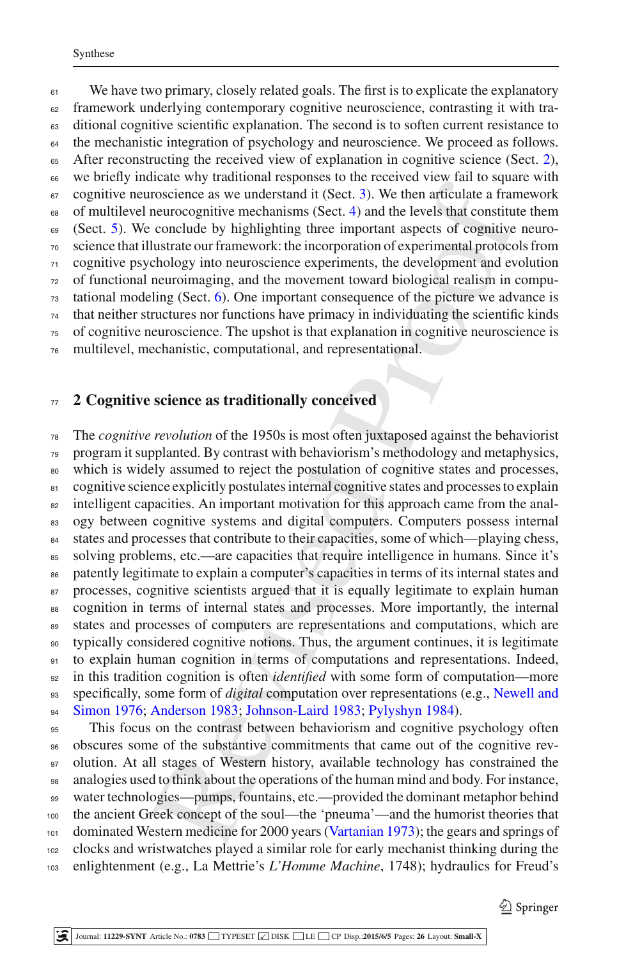We have two primary, closely related goals. The first is to explicate the explanatory framework underlying contemporary cognitive neuroscience, contrasting it with tra- ditional cognitive scientific explanation. The second is to soften current resistance to the mechanistic integration of psychology and neuroscience. We proceed as follows. <sup>65</sup> After reconstructing the received view of explanation in cognitive science (Sect. [2\)](#page-2-0), we briefly indicate why traditional responses to the received view fail to square with cognitive neuroscience as we understand it (Sect. 3). We then articulate a framework of multilevel neurocognitive mechanisms (Sect. 4) and the levels that constitute them (Sect. [5\)](#page-11-0). We conclude by highlighting three important aspects of cognitive neuro- science that illustrate our framework: the incorporation of experimental protocols from cognitive psychology into neuroscience experiments, the development and evolution of functional neuroimaging, and the movement toward biological realism in compu- tational modeling (Sect. [6\)](#page-16-0). One important consequence of the picture we advance is that neither structures nor functions have primacy in individuating the scientific kinds of cognitive neuroscience. The upshot is that explanation in cognitive neuroscience is multilevel, mechanistic, computational, and representational.

# <span id="page-2-0"></span>**2 Cognitive science as traditionally conceived**

Extending manual complement of the control of the control of the control of the control of the control of the control of the control conclude a frame concelarity mechanism (Sect. 4) and the l[ev](#page-23-2)els that constitutes our fram The *cognitive revolution* of the 1950s is most often juxtaposed against the behaviorist program it supplanted. By contrast with behaviorism's methodology and metaphysics, which is widely assumed to reject the postulation of cognitive states and processes, 81 cognitive science explicitly postulates internal cognitive states and processes to explain <sup>82</sup> intelligent capacities. An important motivation for this approach came from the anal-83 ogy between cognitive systems and digital computers. Computers possess internal <sup>84</sup> states and processes that contribute to their capacities, some of which—playing chess, solving problems, etc.—are capacities that require intelligence in humans. Since it's patently legitimate to explain a computer's capacities in terms of its internal states and <sup>87</sup> processes, cognitive scientists argued that it is equally legitimate to explain human cognition in terms of internal states and processes. More importantly, the internal 89 states and processes of computers are representations and computations, which are typically considered cognitive notions. Thus, the argument continues, it is legitimate to explain human cognition in terms of computations and representations. Indeed, in this tradition cognition is often *identified* with some form of computation—more specifically, some form of *digital* computation over representations (e.g., Newell and Simon [1976](#page-24-1); Anderson 1983; Johnson-Laird 1983; [Pylyshyn 1984\)](#page-24-2).

 This focus on the contrast between behaviorism and cognitive psychology often obscures some of the substantive commitments that came out of the cognitive rev- olution. At all stages of Western history, available technology has constrained the analogies used to think about the operations of the human mind and body. For instance, water technologies—pumps, fountains, etc.—provided the dominant metaphor behind the ancient Greek concept of the soul—the 'pneuma'—and the humorist theories that dominated Western medicine for 2000 years (Vartanian [1973](#page-25-2)); the gears and springs of clocks and wristwatches played a similar role for early mechanist thinking during the enlightenment (e.g., La Mettrie's *L'Homme Machine*, 1748); hydraulics for Freud's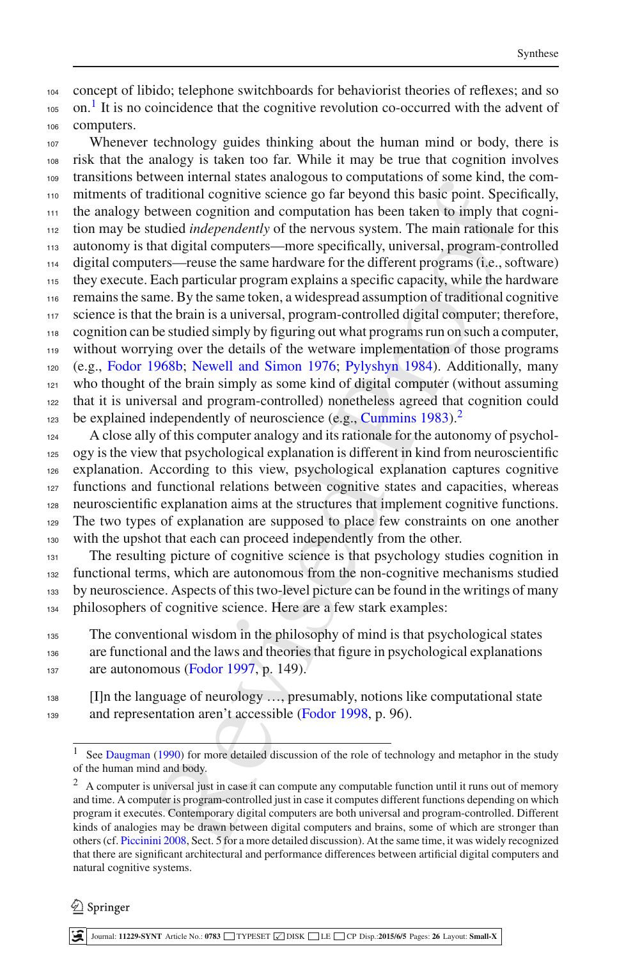concept of libido; telephone switchboards for behaviorist theories of reflexes; and so  $105$  on.<sup>1</sup> It is no coincidence that the cognitive revolution co-occurred with the advent of computers.

and it increases and computation and consideration and it is the centered exercit and it is the certe tered exercit that digital computation has been that in imply that digital computation and computation has been the comp Whenever technology guides thinking about the human mind or body, there is risk that the analogy is taken too far. While it may be true that cognition involves transitions between internal states analogous to computations of some kind, the com- mitments of traditional cognitive science go far beyond this basic point. Specifically, the analogy between cognition and computation has been taken to imply that cogni- tion may be studied *independently* of the nervous system. The main rationale for this autonomy is that digital computers—more specifically, universal, program-controlled digital computers—reuse the same hardware for the different programs (i.e., software) they execute. Each particular program explains a specific capacity, while the hardware remains the same. By the same token, a widespread assumption of traditional cognitive science is that the brain is a universal, program-controlled digital computer; therefore, cognition can be studied simply by figuring out what programs run on such a computer, without worrying over the details of the wetware implementation of those programs (e.g., [Fodor 1968b;](#page-23-3) [Newell and Simon 1976](#page-24-1); Pylyshyn 1984). Additionally, many who thought of the brain simply as some kind of digital computer (without assuming that it is universal and program-controlled) nonetheless agreed that cognition could be explained independently of neuroscience (e.g., Cummins ).<sup>2</sup>

 A close ally of this computer analogy and its rationale for the autonomy of psychol- ogy is the view that psychological explanation is different in kind from neuroscientific explanation. According to this view, psychological explanation captures cognitive functions and functional relations between cognitive states and capacities, whereas neuroscientific explanation aims at the structures that implement cognitive functions. The two types of explanation are supposed to place few constraints on one another with the upshot that each can proceed independently from the other.

 The resulting picture of cognitive science is that psychology studies cognition in functional terms, which are autonomous from the non-cognitive mechanisms studied by neuroscience. Aspects of this two-level picture can be found in the writings of many philosophers of cognitive science. Here are a few stark examples:

 The conventional wisdom in the philosophy of mind is that psychological states are functional and the laws and theories that figure in psychological explanations 137 are autonomous (Fodor 1997, p. 149).

 [I]n the language of neurology …, presumably, notions like computational state 139 and representation aren't accessible (Fodor 1998, p. 96).

## مط⊻ Springer

See [Daugman](#page-22-5) (1990) for more detailed discussion of the role of technology and metaphor in the study of the human mind and body.

<span id="page-3-1"></span><span id="page-3-0"></span><sup>&</sup>lt;sup>2</sup> A computer is universal just in case it can compute any computable function until it runs out of memory and time. A computer is program-controlled just in case it computes different functions depending on which program it executes. Contemporary digital computers are both universal and program-controlled. Different kinds of analogies may be drawn between digital computers and brains, some of which are stronger than others (cf. [Piccinini](#page-24-3) 2008, Sect. 5 for a more detailed discussion). At the same time, it was widely recognized that there are significant architectural and performance differences between artificial digital computers and natural cognitive systems.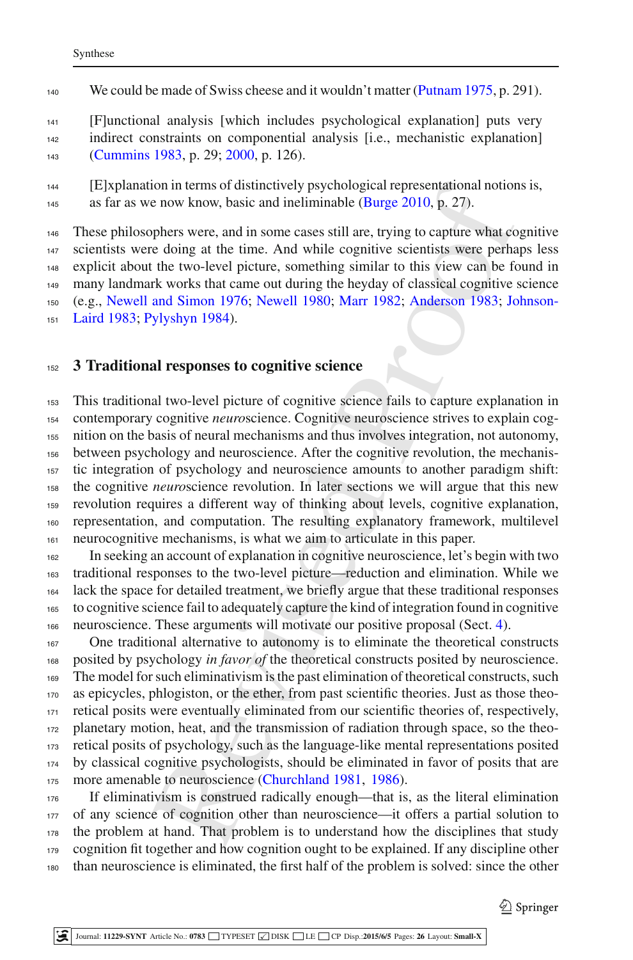We could be made of Swiss cheese and it wouldn't matter [\(Putnam 1975](#page-24-4), p. 291).

 [F]unctional analysis [which includes psychological explanation] puts very indirect constraints on componential analysis [i.e., mechanistic explanation] [\(Cummins 1983,](#page-22-4) p. 29; [2000,](#page-22-6) p. 126).

 [E]xplanation in terms of distinctively psychological representational notions is, 145 as far as we now know, basic and ineliminable (Burge 2010, p. 27).

 These philosophers were, and in some cases still are, trying to capture what cognitive scientists were doing at the time. And while cognitive scientists were perhaps less explicit about the two-level picture, something similar to this view can be found in many landmark works that came out during the heyday of classical cognitive science (e.g., [Newell and Simon 1976](#page-24-1); [Newell 1980;](#page-24-5) Marr 1982; Anderson 1983; Johnson-Laird [1983;](#page-23-2) [Pylyshyn 1984](#page-24-2)).

#### <span id="page-4-0"></span>**3 Traditional responses to cognitive science**

ion in t[e](#page-22-7)rms o[f](#page-22-1) distinctively psychological representational notion<br>noion e now know, basic and incliminable (Burge 2010, p. 27).<br>phers were, and in some cases still are, trying to capture what co<br>eding at the time. And wh This traditional two-level picture of cognitive science fails to capture explanation in contemporary cognitive *neuro*science. Cognitive neuroscience strives to explain cog- nition on the basis of neural mechanisms and thus involves integration, not autonomy, between psychology and neuroscience. After the cognitive revolution, the mechanis- tic integration of psychology and neuroscience amounts to another paradigm shift: the cognitive *neuro*science revolution. In later sections we will argue that this new revolution requires a different way of thinking about levels, cognitive explanation, representation, and computation. The resulting explanatory framework, multilevel neurocognitive mechanisms, is what we aim to articulate in this paper.

 In seeking an account of explanation in cognitive neuroscience, let's begin with two traditional responses to the two-level picture—reduction and elimination. While we lack the space for detailed treatment, we briefly argue that these traditional responses to cognitive science fail to adequately capture the kind of integration found in cognitive neuroscience. These arguments will motivate our positive proposal (Sect. [4\)](#page-6-0).

 One traditional alternative to autonomy is to eliminate the theoretical constructs posited by psychology *in favor of* the theoretical constructs posited by neuroscience. The model for such eliminativism is the past elimination of theoretical constructs, such as epicycles, phlogiston, or the ether, from past scientific theories. Just as those theo- retical posits were eventually eliminated from our scientific theories of, respectively, planetary motion, heat, and the transmission of radiation through space, so the theo- retical posits of psychology, such as the language-like mental representations posited by classical cognitive psychologists, should be eliminated in favor of posits that are 175 more amenable to neuroscience (Churchland 1981, [1986\)](#page-22-8).

 If eliminativism is construed radically enough—that is, as the literal elimination of any science of cognition other than neuroscience—it offers a partial solution to the problem at hand. That problem is to understand how the disciplines that study cognition fit together and how cognition ought to be explained. If any discipline other than neuroscience is eliminated, the first half of the problem is solved: since the other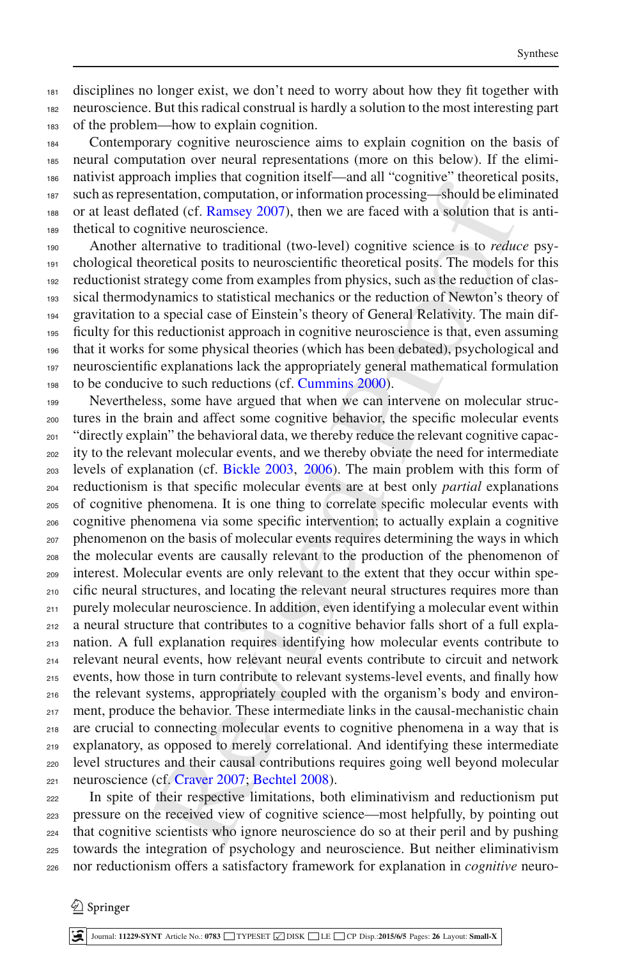disciplines no longer exist, we don't need to worry about how they fit together with neuroscience. But this radical construal is hardly a solution to the most interesting part of the problem—how to explain cognition.

 Contemporary cognitive neuroscience aims to explain cognition on the basis of neural computation over neural representations (more on this below). If the elimi- nativist approach implies that cognition itself—and all "cognitive" theoretical posits, such as representation, computation, or information processing—should be eliminated or at least deflated (cf. [Ramsey 2007](#page-24-6)), then we are faced with a solution that is anti-thetical to cognitive neuroscience.

 Another alternative to traditional (two-level) cognitive science is to *reduce* psy- chological theoretical posits to neuroscientific theoretical posits. The models for this reductionist strategy come from examples from physics, such as the reduction of clas- sical thermodynamics to statistical mechanics or the reduction of Newton's theory of gravitation to a special case of Einstein's theory of General Relativity. The main dif- ficulty for this reductionist approach in cognitive neuroscience is that, even assuming that it works for some physical theories (which has been debated), psychological and neuroscientific explanations lack the appropriately general mathematical formulation to be conducive to such reductions (cf. [Cummins](#page-22-6) 2000).

action computation, or information processing—shoul[d](#page-22-10) be elimetration, computation, or information processing—should be elimetric elitered (cf. Ramsey 2007), then we are faced with a solution that lated (cf. Ramsey 2007), t Nevertheless, some have argued that when we can intervene on molecular struc- tures in the brain and affect some cognitive behavior, the specific molecular events <sup>201</sup> "directly explain" the behavioral data, we thereby reduce the relevant cognitive capac- ity to the relevant molecular events, and we thereby obviate the need for intermediate levels of explanation (cf. Bickle 2003, 2006). The main problem with this form of reductionism is that specific molecular events are at best only *partial* explanations of cognitive phenomena. It is one thing to correlate specific molecular events with cognitive phenomena via some specific intervention; to actually explain a cognitive phenomenon on the basis of molecular events requires determining the ways in which the molecular events are causally relevant to the production of the phenomenon of interest. Molecular events are only relevant to the extent that they occur within spe- cific neural structures, and locating the relevant neural structures requires more than purely molecular neuroscience. In addition, even identifying a molecular event within a neural structure that contributes to a cognitive behavior falls short of a full expla- nation. A full explanation requires identifying how molecular events contribute to relevant neural events, how relevant neural events contribute to circuit and network events, how those in turn contribute to relevant systems-level events, and finally how the relevant systems, appropriately coupled with the organism's body and environ-217 ment, produce the behavior. These intermediate links in the causal-mechanistic chain are crucial to connecting molecular events to cognitive phenomena in a way that is explanatory, as opposed to merely correlational. And identifying these intermediate level structures and their causal contributions requires going well beyond molecular neuroscience (cf. Craver 2007; Bechtel 2008).

 In spite of their respective limitations, both eliminativism and reductionism put pressure on the received view of cognitive science—most helpfully, by pointing out that cognitive scientists who ignore neuroscience do so at their peril and by pushing towards the integration of psychology and neuroscience. But neither eliminativism nor reductionism offers a satisfactory framework for explanation in *cognitive* neuro-

≰ Springer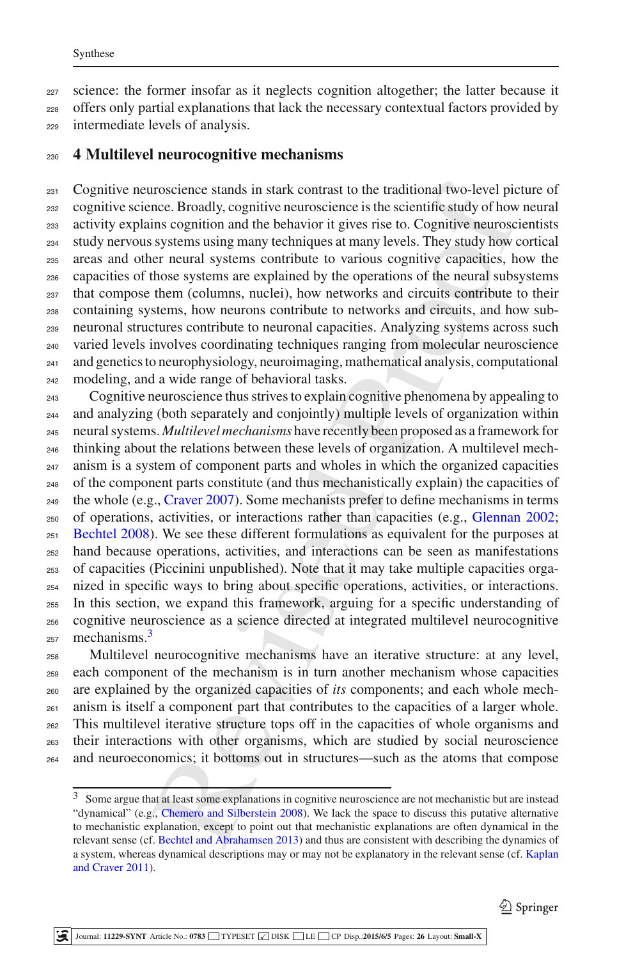science: the former insofar as it neglects cognition altogether; the latter because it offers only partial explanations that lack the necessary contextual factors provided by intermediate levels of analysis.

#### <span id="page-6-0"></span>**4 Multilevel neurocognitive mechanisms**

 Cognitive neuroscience stands in stark contrast to the traditional two-level picture of cognitive science. Broadly, cognitive neuroscience is the scientific study of how neural activity explains cognition and the behavior it gives rise to. Cognitive neuroscientists study nervous systems using many techniques at many levels. They study how cortical areas and other neural systems contribute to various cognitive capacities, how the capacities of those systems are explained by the operations of the neural subsystems that compose them (columns, nuclei), how networks and circuits contribute to their containing systems, how neurons contribute to networks and circuits, and how sub- neuronal structures contribute to neuronal capacities. Analyzing systems across such varied levels involves coordinating techniques ranging from molecular neuroscience and genetics to neurophysiology, neuroimaging, mathematical analysis, computational modeling, and a wide range of behavioral tasks.

proscience stands in stark contrast to the traditional two-level pice.<br>Inc. Broadly, cognitive neuroscience is the scientific study of how<br>ins cognition and the behavior it gives rise to. Cognitive neurosc<br>systems using ma Cognitive neuroscience thus strives to explain cognitive phenomena by appealing to and analyzing (both separately and conjointly) multiple levels of organization within neural systems. *Multilevel mechanisms* have recently been proposed as a framework for thinking about the relations between these levels of organization. A multilevel mech- anism is a system of component parts and wholes in which the organized capacities of the component parts constitute (and thus mechanistically explain) the capacities of the whole (e.g., Craver 2007). Some mechanists prefer to define mechanisms in terms of operations, activities, or interactions rather than capacities (e.g., [Glennan 2002](#page-23-6); [Bechtel 2008\)](#page-22-12). We see these different formulations as equivalent for the purposes at hand because operations, activities, and interactions can be seen as manifestations of capacities (Piccinini unpublished). Note that it may take multiple capacities orga- nized in specific ways to bring about specific operations, activities, or interactions. In this section, we expand this framework, arguing for a specific understanding of cognitive neuroscience as a science directed at integrated multilevel neurocognitive mechanisms.<sup>3</sup>

 Multilevel neurocognitive mechanisms have an iterative structure: at any level, each component of the mechanism is in turn another mechanism whose capacities are explained by the organized capacities of *its* components; and each whole mech- anism is itself a component part that contributes to the capacities of a larger whole. This multilevel iterative structure tops off in the capacities of whole organisms and their interactions with other organisms, which are studied by social neuroscience and neuroeconomics; it bottoms out in structures—such as the atoms that compose

<span id="page-6-1"></span> Some argue that at least some explanations in cognitive neuroscience are not mechanistic but are instead "dynamical" (e.g., Chemero and Silberstein 2008). We lack the space to discuss this putative alternative to mechanistic explanation, except to point out that mechanistic explanations are often dynamical in the relevant sense (cf. Bechtel and Abrahamsen 2013) and thus are consistent with describing the dynamics of a system, [whereas](#page-23-7) [dynamical](#page-23-7) [descriptions](#page-23-7) [may](#page-23-7) [or](#page-23-7) [may](#page-23-7) [not](#page-23-7) [be](#page-23-7) [explanatory](#page-23-7) [in](#page-23-7) [the](#page-23-7) [relevant](#page-23-7) [sense](#page-23-7) [\(cf.](#page-23-7) Kaplan and Craver [2011\)](#page-23-7).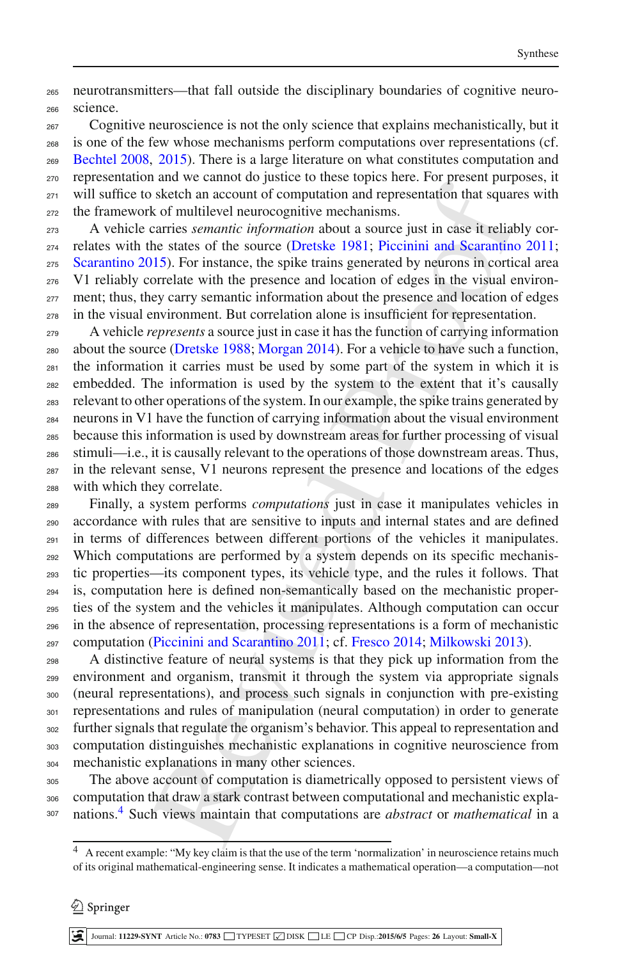neurotransmitters—that fall outside the disciplinary boundaries of cognitive neuro-science.

 Cognitive neuroscience is not the only science that explains mechanistically, but it is one of the few whose mechanisms perform computations over representations (cf. [Bechtel 2008,](#page-22-12) [2015](#page-22-15)). There is a large literature on what constitutes computation and representation and we cannot do justice to these topics here. For present purposes, it will suffice to sketch an account of computation and representation that squares with the framework of multilevel neurocognitive mechanisms.

 A vehicle carries *semantic information* about a source just in case it reliably cor- relates with the states of the source [\(Dretske](#page-22-16) 1981; Piccinini and Scarantino [2011](#page-24-7); [Scarantino 2015\)](#page-24-8). For instance, the spike trains generated by neurons in cortical area V1 reliably correlate with the presence and location of edges in the visual environ-<sub>277</sub> ment; thus, they carry semantic information about the presence and location of edges in the visual environment. But correlation alone is insufficient for representation.

and the ventwice to mean the sample [of](#page-24-7) the section and periodic and space of the section and cocount of computation and representation that square<br>carries *semantic* information about a source just in case it reliable sta A vehicle *represents* a source just in case it has the function of carrying information about the source [\(Dretske 1988](#page-22-17); [Morgan 2014\)](#page-24-9). For a vehicle to have such a function, the information it carries must be used by some part of the system in which it is embedded. The information is used by the system to the extent that it's causally relevant to other operations of the system. In our example, the spike trains generated by neurons in V1 have the function of carrying information about the visual environment because this information is used by downstream areas for further processing of visual stimuli—i.e., it is causally relevant to the operations of those downstream areas. Thus, in the relevant sense, V1 neurons represent the presence and locations of the edges with which they correlate.

 Finally, a system performs *computations* just in case it manipulates vehicles in accordance with rules that are sensitive to inputs and internal states and are defined in terms of differences between different portions of the vehicles it manipulates. Which computations are performed by a system depends on its specific mechanis- tic properties—its component types, its vehicle type, and the rules it follows. That is, computation here is defined non-semantically based on the mechanistic proper- ties of the system and the vehicles it manipulates. Although computation can occur in the absence of representation, processing representations is a form of mechanistic computation (Piccinini and Scarantino 2011; cf. Fresco [2014](#page-23-8); [Milkowski 2013\)](#page-24-10).

 A distinctive feature of neural systems is that they pick up information from the environment and organism, transmit it through the system via appropriate signals (neural representations), and process such signals in conjunction with pre-existing representations and rules of manipulation (neural computation) in order to generate further signals that regulate the organism's behavior. This appeal to representation and computation distinguishes mechanistic explanations in cognitive neuroscience from mechanistic explanations in many other sciences.

 The above account of computation is diametrically opposed to persistent views of computation that draw a stark contrast between computational and mechanistic expla-<sup>307</sup> nations.<sup>[4](#page-7-0)</sup> Such views maintain that computations are *abstract* or *mathematical* in a

<span id="page-7-0"></span> A recent example: "My key claim is that the use of the term 'normalization' in neuroscience retains much of its original mathematical-engineering sense. It indicates a mathematical operation—a computation—not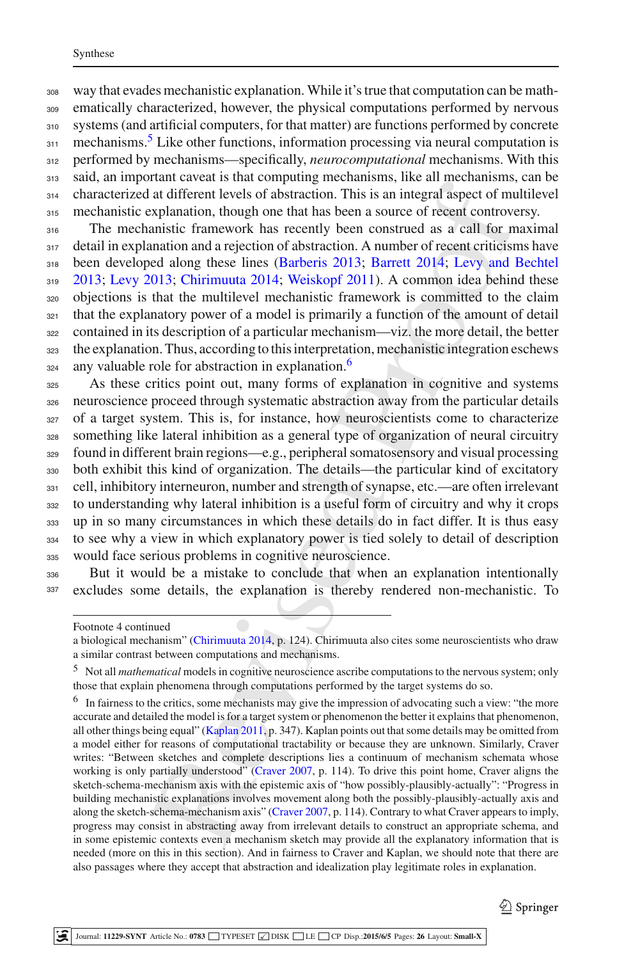way that evades mechanistic explanation. While it's true that computation can be math- ematically characterized, however, the physical computations performed by nervous systems (and artificial computers, for that matter) are functions performed by concrete  $_{311}$  mechanisms.<sup>5</sup> Like other functions, information processing via neural computation is performed by mechanisms—specifically, *neurocomputational* mechanisms. With this said, an important caveat is that computing mechanisms, like all mechanisms, can be characterized at different levels of abstraction. This is an integral aspect of multilevel mechanistic explanation, though one that has been a source of recent controversy.

 The mechanistic framework has recently been construed as a call for maximal 317 detail in explanation and a rejection of abstraction. A number of recent criticisms have been developed along these lines [\(Barberis](#page-22-18) 2013; Barrett 2014; [Levy and Bechtel](#page-23-9) [2013;](#page-23-9) [Levy 2013;](#page-23-10) [Chirimuuta 2014;](#page-22-2) [Weiskopf](#page-25-0) 2011). A common idea behind these objections is that the multilevel mechanistic framework is committed to the claim that the explanatory power of a model is primarily a function of the amount of detail contained in its description of a particular mechanism—viz. the more detail, the better the explanation. Thus, according to this interpretation, mechanistic integration eschews  $_{324}$  any valuable role for abstraction in explanation.<sup>6</sup>

Examplariation, though one that has been a source of recent and antiferent l[ev](#page-23-11)els of abstract[i](#page-22-2)on. This is an integral aspect [of](#page-22-19) multiplictic at different levels of abstraction. This is an integral aspect of multiplictic f As these critics point out, many forms of explanation in cognitive and systems neuroscience proceed through systematic abstraction away from the particular details of a target system. This is, for instance, how neuroscientists come to characterize something like lateral inhibition as a general type of organization of neural circuitry found in different brain regions—e.g., peripheral somatosensory and visual processing both exhibit this kind of organization. The details—the particular kind of excitatory cell, inhibitory interneuron, number and strength of synapse, etc.—are often irrelevant to understanding why lateral inhibition is a useful form of circuitry and why it crops up in so many circumstances in which these details do in fact differ. It is thus easy to see why a view in which explanatory power is tied solely to detail of description would face serious problems in cognitive neuroscience.

- <sup>336</sup> But it would be a mistake to conclude that when an explanation intentionally
- <sup>337</sup> excludes some details, the explanation is thereby rendered non-mechanistic. To

Footnote 4 continued

a biological mechanism" (Chirimuuta 2014, p. 124). Chirimuuta also cites some neuroscientists who draw a similar contrast between computations and mechanisms.

<span id="page-8-0"></span><sup>5</sup> Not all *mathematical* models in cognitive neuroscience ascribe computations to the nervous system; only those that explain phenomena through computations performed by the target systems do so.

<span id="page-8-1"></span><sup>6</sup> In fairness to the critics, some mechanists may give the impression of advocating such a view: "the more accurate and detailed the model is for a target system or phenomenon the better it explains that phenomenon, all other things being equal" (Kaplan 2011, p. 347). Kaplan points out that some details may be omitted from a model either for reasons of computational tractability or because they are unknown. Similarly, Craver writes: "Between sketches and complete descriptions lies a continuum of mechanism schemata whose working is only partially understood" (Craver 2007, p. 114). To drive this point home, Craver aligns the sketch-schema-mechanism axis with the epistemic axis of "how possibly-plausibly-actually": "Progress in building mechanistic explanations involves movement along both the possibly-plausibly-actually axis and along the sketch-schema-mechanism axis" (Craver 2007, p. 114). Contrary to what Craver appears to imply, progress may consist in abstracting away from irrelevant details to construct an appropriate schema, and in some epistemic contexts even a mechanism sketch may provide all the explanatory information that is needed (more on this in this section). And in fairness to Craver and Kaplan, we should note that there are also passages where they accept that abstraction and idealization play legitimate roles in explanation.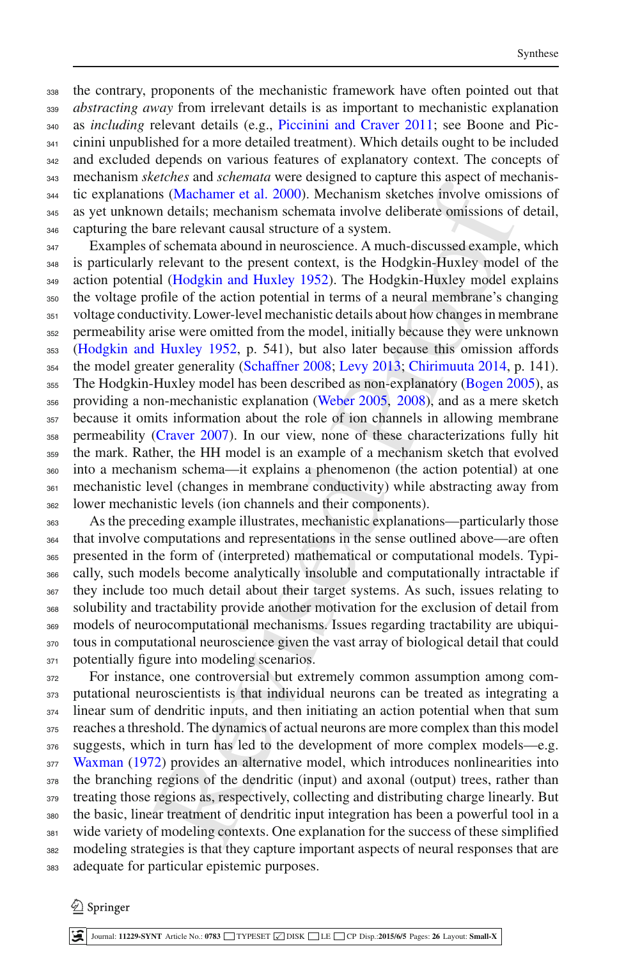the contrary, proponents of the mechanistic framework have often pointed out that *abstracting away* from irrelevant details is as important to mechanistic explanation as *including* relevant details (e.g., [Piccinini and Craver 2011](#page-24-11); see Boone and Pic- cinini unpublished for a more detailed treatment). Which details ought to be included and excluded depends on various features of explanatory context. The concepts of mechanism *sketches* and *schemata* were designed to capture this aspect of mechanis- tic explanations [\(Machamer et al. 2000](#page-23-12)). Mechanism sketches involve omissions of as yet unknown details; mechanism schemata involve deliberate omissions of detail, capturing the bare relevant causal structure of a system.

Encomposition and the considerations in the same of the method of the method of the method of the dentation schema in solve diliberate onissions of the constrained in the method of the method of the method of the method of Examples of schemata abound in neuroscience. A much-discussed example, which is particularly relevant to the present context, is the Hodgkin-Huxley model of the action potential [\(Hodgkin and Huxley 1952](#page-23-13)). The Hodgkin-Huxley model explains the voltage profile of the action potential in terms of a neural membrane's changing voltage conductivity. Lower-level mechanistic details about how changes in membrane permeability arise were omitted from the model, initially because they were unknown [\(Hodgkin and Huxley 1952,](#page-23-13) p. 541), but also later because this omission affords the model greater generality [\(Schaffner 2008](#page-24-12); Levy 2013; Chirimuuta 2014, p. 141). The Hodgkin-Huxley model has been described as non-explanatory (Bogen [2005\)](#page-22-20), as providing a non-mechanistic explanation [\(Weber](#page-25-3) 2005, 2008), and as a mere sketch because it omits information about the role of ion channels in allowing membrane permeability [\(Craver 2007](#page-22-11)). In our view, none of these characterizations fully hit the mark. Rather, the HH model is an example of a mechanism sketch that evolved into a mechanism schema—it explains a phenomenon (the action potential) at one mechanistic level (changes in membrane conductivity) while abstracting away from lower mechanistic levels (ion channels and their components).

 As the preceding example illustrates, mechanistic explanations—particularly those that involve computations and representations in the sense outlined above—are often presented in the form of (interpreted) mathematical or computational models. Typi- cally, such models become analytically insoluble and computationally intractable if they include too much detail about their target systems. As such, issues relating to solubility and tractability provide another motivation for the exclusion of detail from models of neurocomputational mechanisms. Issues regarding tractability are ubiqui- tous in computational neuroscience given the vast array of biological detail that could potentially figure into modeling scenarios.

 For instance, one controversial but extremely common assumption among com- putational neuroscientists is that individual neurons can be treated as integrating a linear sum of dendritic inputs, and then initiating an action potential when that sum reaches a threshold. The dynamics of actual neurons are more complex than this model suggests, which in turn has led to the development of more complex models—e.g. [Waxman](#page-25-5) [\(1972](#page-25-5)) provides an alternative model, which introduces nonlinearities into the branching regions of the dendritic (input) and axonal (output) trees, rather than treating those regions as, respectively, collecting and distributing charge linearly. But the basic, linear treatment of dendritic input integration has been a powerful tool in a wide variety of modeling contexts. One explanation for the success of these simplified modeling strategies is that they capture important aspects of neural responses that are adequate for particular epistemic purposes.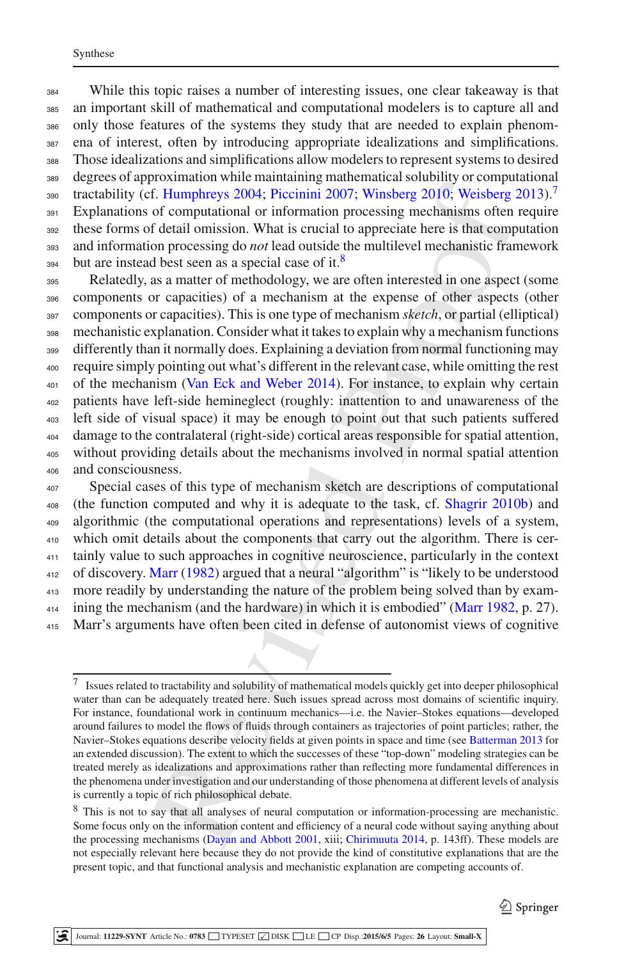While this topic raises a number of interesting issues, one clear takeaway is that an important skill of mathematical and computational modelers is to capture all and only those features of the systems they study that are needed to explain phenom- ena of interest, often by introducing appropriate idealizations and simplifications. Those idealizations and simplifications allow modelers to represent systems to desired degrees of approximation while maintaining mathematical solubility or computational tractability (cf. [Humphreys 2004](#page-23-14); [Piccinini 2007;](#page-24-13) Winsberg 2010; Weisberg [2013\)](#page-25-7).<sup>[7](#page-10-0)</sup> Explanations of computational or information processing mechanisms often require these forms of detail omission. What is crucial to appreciate here is that computation and information processing do *not* lead outside the multilevel mechanistic framework  $_{394}$  but are instead best seen as a special case of it.<sup>8</sup>

Formulation in the material material content and a structure o[f](#page-25-7) the production of the computational or information processing mechanisms of formulation of information processing mechanisms of the dial matison. What is cru Relatedly, as a matter of methodology, we are often interested in one aspect (some components or capacities) of a mechanism at the expense of other aspects (other components or capacities). This is one type of mechanism *sketch*, or partial (elliptical) mechanistic explanation. Consider what it takes to explain why a mechanism functions differently than it normally does. Explaining a deviation from normal functioning may require simply pointing out what's different in the relevant case, while omitting the rest of the mechanism [\(Van Eck and Weber 2014](#page-25-8)). For instance, to explain why certain patients have left-side hemineglect (roughly: inattention to and unawareness of the left side of visual space) it may be enough to point out that such patients suffered damage to the contralateral (right-side) cortical areas responsible for spatial attention, without providing details about the mechanisms involved in normal spatial attention and consciousness.

 Special cases of this type of mechanism sketch are descriptions of computational (the function computed and why it is adequate to the task, cf. [Shagrir 2010b\)](#page-25-9) and algorithmic (the computational operations and representations) levels of a system, which omit details about the components that carry out the algorithm. There is cer- tainly value to such approaches in cognitive neuroscience, particularly in the context of discovery. Marr (1982) argued that a neural "algorithm" is "likely to be understood <sup>413</sup> more readily by understanding the nature of the problem being solved than by exam- ining the mechanism (and the hardware) in which it is embodied" [\(Marr 1982,](#page-23-5) p. 27). Marr's arguments have often been cited in defense of autonomist views of cognitive

<span id="page-10-0"></span> Issues related to tractability and solubility of mathematical models quickly get into deeper philosophical water than can be adequately treated here. Such issues spread across most domains of scientific inquiry. For instance, foundational work in continuum mechanics—i.e. the Navier–Stokes equations—developed around failures to model the flows of fluids through containers as trajectories of point particles; rather, the Navier–Stokes equations describe velocity fields at given points in space and time (see [Batterman 2013](#page-22-21) for an extended discussion). The extent to which the successes of these "top-down" modeling strategies can be treated merely as idealizations and approximations rather than reflecting more fundamental differences in the phenomena under investigation and our understanding of those phenomena at different levels of analysis is currently a topic of rich philosophical debate.

<span id="page-10-1"></span> This is not to say that all analyses of neural computation or information-processing are mechanistic. Some focus only on the information content and efficiency of a neural code without saying anything about the processing mechanisms (Dayan and Abbott 2001, xiii; Chirimuuta [2014](#page-22-2), p. 143ff). These models are not especially relevant here because they do not provide the kind of constitutive explanations that are the present topic, and that functional analysis and mechanistic explanation are competing accounts of.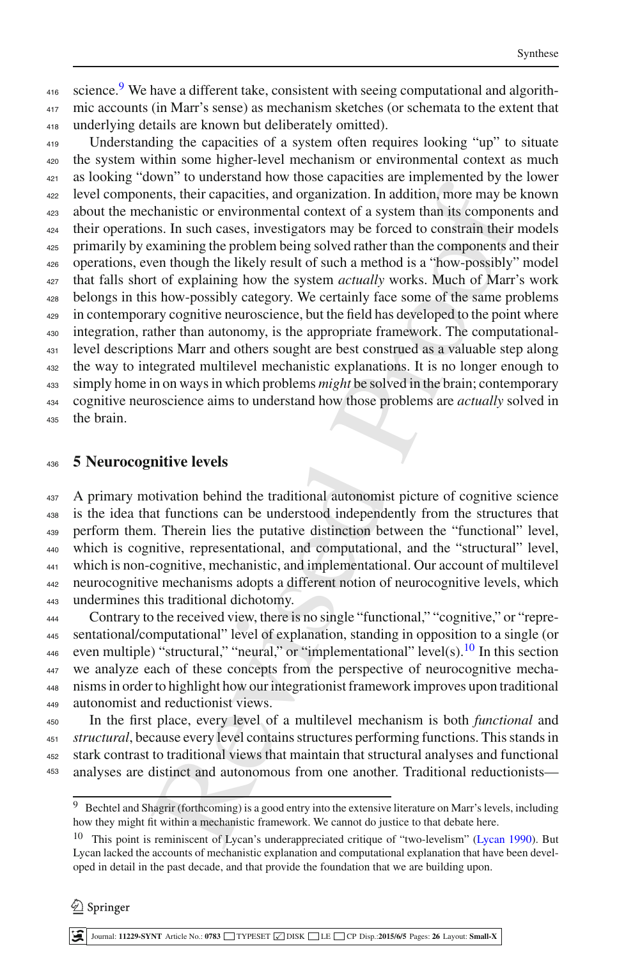$\frac{1}{416}$  science.<sup>[9](#page-11-1)</sup> We have a different take, consistent with seeing computational and algorith- mic accounts (in Marr's sense) as mechanism sketches (or schemata to the extent that underlying details are known but deliberately omitted).

brankistic or environmental contests of a system than the measurement of and<br>smalled transition environmental contests of a system than its component<br>shalled the reader in the system and incorporated constrain their<br>txami Understanding the capacities of a system often requires looking "up" to situate the system within some higher-level mechanism or environmental context as much as looking "down" to understand how those capacities are implemented by the lower level components, their capacities, and organization. In addition, more may be known about the mechanistic or environmental context of a system than its components and their operations. In such cases, investigators may be forced to constrain their models primarily by examining the problem being solved rather than the components and their operations, even though the likely result of such a method is a "how-possibly" model that falls short of explaining how the system *actually* works. Much of Marr's work belongs in this how-possibly category. We certainly face some of the same problems in contemporary cognitive neuroscience, but the field has developed to the point where integration, rather than autonomy, is the appropriate framework. The computational- level descriptions Marr and others sought are best construed as a valuable step along the way to integrated multilevel mechanistic explanations. It is no longer enough to simply home in on ways in which problems *might* be solved in the brain; contemporary cognitive neuroscience aims to understand how those problems are *actually* solved in the brain.

#### <span id="page-11-0"></span>**5 Neurocognitive levels**

 A primary motivation behind the traditional autonomist picture of cognitive science is the idea that functions can be understood independently from the structures that perform them. Therein lies the putative distinction between the "functional" level, which is cognitive, representational, and computational, and the "structural" level, which is non-cognitive, mechanistic, and implementational. Our account of multilevel neurocognitive mechanisms adopts a different notion of neurocognitive levels, which undermines this traditional dichotomy.

 Contrary to the received view, there is no single "functional," "cognitive," or "repre- sentational/computational" level of explanation, standing in opposition to a single (or 446 even multiple) "structural," "neural," or "implementational" level(s).<sup>[10](#page-11-2)</sup> In this section we analyze each of these concepts from the perspective of neurocognitive mecha- nisms in order to highlight how our integrationist framework improves upon traditional autonomist and reductionist views.

 In the first place, every level of a multilevel mechanism is both *functional* and *structural*, because every level contains structures performing functions. This stands in stark contrast to traditional views that maintain that structural analyses and functional analyses are distinct and autonomous from one another. Traditional reductionists—

<span id="page-11-1"></span> Bechtel and Shagrir (forthcoming) is a good entry into the extensive literature on Marr's levels, including how they might fit within a mechanistic framework. We cannot do justice to that debate here.

<span id="page-11-2"></span><sup>&</sup>lt;sup>10</sup> This point is reminiscent of Lycan's underappreciated critique of "two-levelism" [\(Lycan 1990](#page-23-15)). But Lycan lacked the accounts of mechanistic explanation and computational explanation that have been developed in detail in the past decade, and that provide the foundation that we are building upon.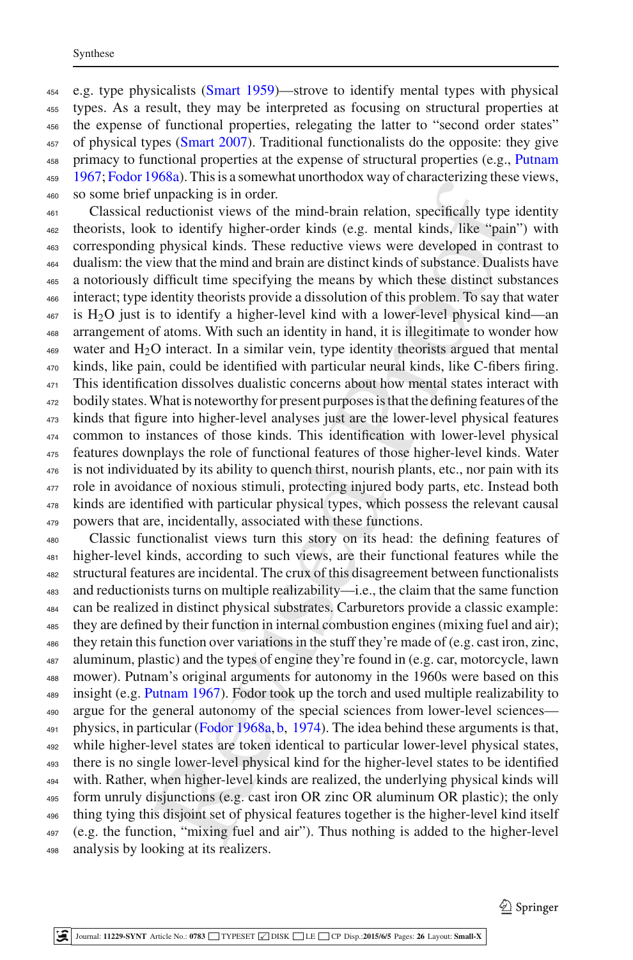e.g. type physicalists [\(Smart 1959\)](#page-25-10)—strove to identify mental types with physical types. As a result, they may be interpreted as focusing on structural properties at the expense of functional properties, relegating the latter to "second order states" of physical types [\(Smart 2007\)](#page-25-11). Traditional functionalists do the opposite: they give <sup>458</sup> primacy to functional properties at the expense of structural properties (e.g., [Putnam](#page-24-14) [1967;](#page-24-14) [Fodor 1968a\)](#page-23-16). This is a somewhat unorthodox way of characterizing these views, so some brief unpacking is in order.

somential under the mind and their station and y considerations in the unpeaking is in order.<br>
unpeaking is in order.<br>
the district proof the mind-brain relation, specifically type if<br>
detaining is in order.<br>
It is distri Classical reductionist views of the mind-brain relation, specifically type identity theorists, look to identify higher-order kinds (e.g. mental kinds, like "pain") with corresponding physical kinds. These reductive views were developed in contrast to dualism: the view that the mind and brain are distinct kinds of substance. Dualists have a notoriously difficult time specifying the means by which these distinct substances interact; type identity theorists provide a dissolution of this problem. To say that water is H<sub>2</sub>O just is to identify a higher-level kind with a lower-level physical kind—an arrangement of atoms. With such an identity in hand, it is illegitimate to wonder how 469 water and  $H_2O$  interact. In a similar vein, type identity theorists argued that mental kinds, like pain, could be identified with particular neural kinds, like C-fibers firing. This identification dissolves dualistic concerns about how mental states interact with bodily states.What is noteworthy for present purposes is that the defining features of the kinds that figure into higher-level analyses just are the lower-level physical features common to instances of those kinds. This identification with lower-level physical features downplays the role of functional features of those higher-level kinds. Water is not individuated by its ability to quench thirst, nourish plants, etc., nor pain with its role in avoidance of noxious stimuli, protecting injured body parts, etc. Instead both kinds are identified with particular physical types, which possess the relevant causal powers that are, incidentally, associated with these functions.

 Classic functionalist views turn this story on its head: the defining features of higher-level kinds, according to such views, are their functional features while the structural features are incidental. The crux of this disagreement between functionalists and reductionists turns on multiple realizability—i.e., the claim that the same function can be realized in distinct physical substrates. Carburetors provide a classic example: they are defined by their function in internal combustion engines (mixing fuel and air); they retain this function over variations in the stuff they're made of (e.g. cast iron, zinc, aluminum, plastic) and the types of engine they're found in (e.g. car, motorcycle, lawn mower). Putnam's original arguments for autonomy in the 1960s were based on this insight (e.g. Putnam 1967). Fodor took up the torch and used multiple realizability to argue for the general autonomy of the special sciences from lower-level sciences— physics, in particular (Fodor 1968a, b, 1974). The idea behind these arguments is that, while higher-level states are token identical to particular lower-level physical states, there is no single lower-level physical kind for the higher-level states to be identified with. Rather, when higher-level kinds are realized, the underlying physical kinds will form unruly disjunctions (e.g. cast iron OR zinc OR aluminum OR plastic); the only thing tying this disjoint set of physical features together is the higher-level kind itself (e.g. the function, "mixing fuel and air"). Thus nothing is added to the higher-level analysis by looking at its realizers.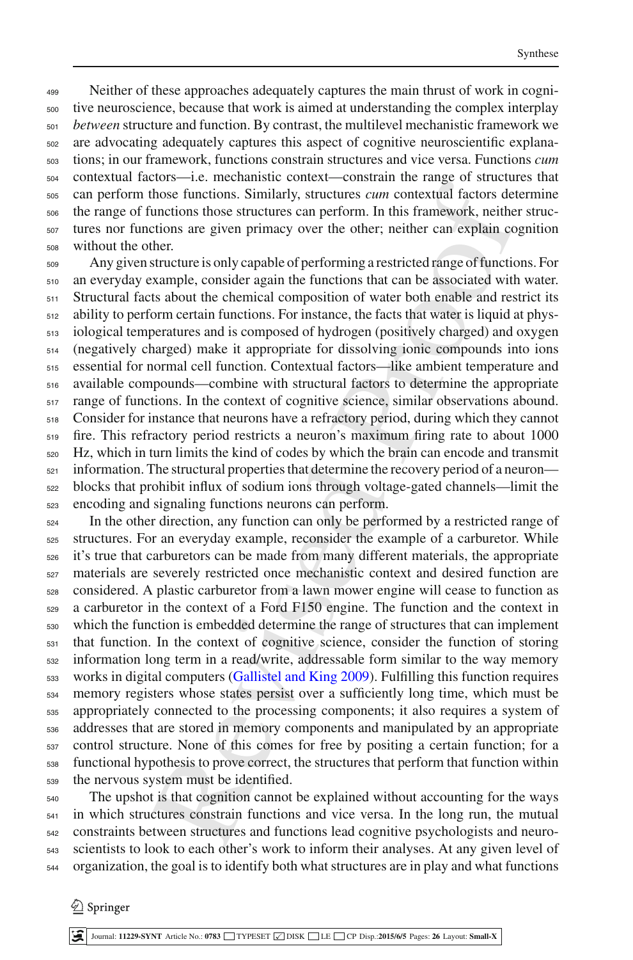Neither of these approaches adequately captures the main thrust of work in cogni- tive neuroscience, because that work is aimed at understanding the complex interplay *between* structure and function. By contrast, the multilevel mechanistic framework we are advocating adequately captures this aspect of cognitive neuroscientific explana- tions; in our framework, functions constrain structures and vice versa. Functions *cum* contextual factors—i.e. mechanistic context—constrain the range of structures that can perform those functions. Similarly, structures *cum* contextual factors determine the range of functions those structures can perform. In this framework, neither struc- tures nor functions are given primacy over the other; neither can explain cognition without the other.

 Any given structure is only capable of performing a restricted range of functions. For an everyday example, consider again the functions that can be associated with water. Structural facts about the chemical composition of water both enable and restrict its ability to perform certain functions. For instance, the facts that water is liquid at phys- iological temperatures and is composed of hydrogen (positively charged) and oxygen (negatively charged) make it appropriate for dissolving ionic compounds into ions essential for normal cell function. Contextual factors—like ambient temperature and available compounds—combine with structural factors to determine the appropriate range of functions. In the context of cognitive science, similar observations abound. Consider for instance that neurons have a refractory period, during which they cannot fire. This refractory period restricts a neuron's maximum firing rate to about 1000 Hz, which in turn limits the kind of codes by which the brain can encode and transmit information. The structural properties that determine the recovery period of a neuron— blocks that prohibit influx of sodium ions through voltage-gated channels—limit the encoding and signaling functions neurons can perform.

tower the theorem and the protection and the mapped to shock the context of the context of the sections are perform. In this framework, neither<br>titions are finite transmission and formula factors determines the method and In the other direction, any function can only be performed by a restricted range of structures. For an everyday example, reconsider the example of a carburetor. While it's true that carburetors can be made from many different materials, the appropriate materials are severely restricted once mechanistic context and desired function are considered. A plastic carburetor from a lawn mower engine will cease to function as a carburetor in the context of a Ford F150 engine. The function and the context in which the function is embedded determine the range of structures that can implement that function. In the context of cognitive science, consider the function of storing information long term in a read/write, addressable form similar to the way memory <sub>533</sub> works in digital computers (Gallistel and King 2009). Fulfilling this function requires memory registers whose states persist over a sufficiently long time, which must be appropriately connected to the processing components; it also requires a system of addresses that are stored in memory components and manipulated by an appropriate control structure. None of this comes for free by positing a certain function; for a functional hypothesis to prove correct, the structures that perform that function within the nervous system must be identified.

 The upshot is that cognition cannot be explained without accounting for the ways in which structures constrain functions and vice versa. In the long run, the mutual constraints between structures and functions lead cognitive psychologists and neuro- scientists to look to each other's work to inform their analyses. At any given level of organization, the goal is to identify both what structures are in play and what functions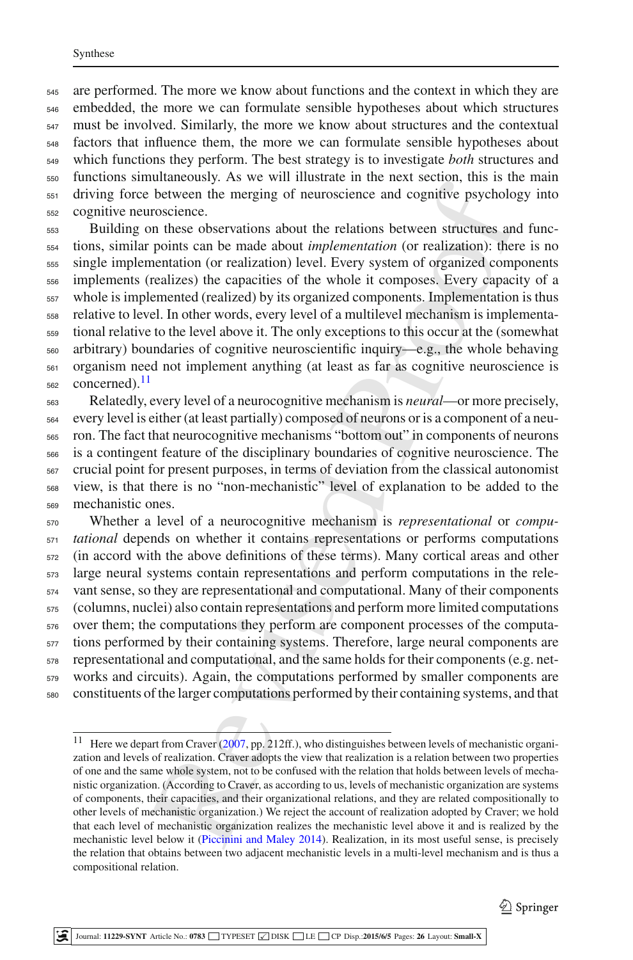are performed. The more we know about functions and the context in which they are embedded, the more we can formulate sensible hypotheses about which structures must be involved. Similarly, the more we know about structures and the contextual factors that influence them, the more we can formulate sensible hypotheses about which functions they perform. The best strategy is to investigate *both* structures and functions simultaneously. As we will illustrate in the next section, this is the main driving force between the merging of neuroscience and cognitive psychology into cognitive neuroscience.

 Building on these observations about the relations between structures and func- tions, similar points can be made about *implementation* (or realization): there is no single implementation (or realization) level. Every system of organized components implements (realizes) the capacities of the whole it composes. Every capacity of a whole is implemented (realized) by its organized components. Implementation is thus relative to level. In other words, every level of a multilevel mechanism is implementa- tional relative to the level above it. The only exceptions to this occur at the (somewhat arbitrary) boundaries of cognitive neuroscientific inquiry—e.g., the whole behaving organism need not implement anything (at least as far as cognitive neuroscience is concerned).<sup>[11](#page-14-0)</sup>

 Relatedly, every level of a neurocognitive mechanism is *neural*—or more precisely, every level is either (at least partially) composed of neurons or is a component of a neu- ron. The fact that neurocognitive mechanisms "bottom out" in components of neurons is a contingent feature of the disciplinary boundaries of cognitive neuroscience. The crucial point for present purposes, in terms of deviation from the classical autonomist view, is that there is no "non-mechanistic" level of explanation to be added to the mechanistic ones.

Low[e](#page-22-11)r in the near that the mean of the content, who see the season of the<br>hetween the merging of neuroscience and cognitive psycholog on these observations about the relations between structures am<br>points can be made abou Whether a level of a neurocognitive mechanism is *representational* or *compu- tational* depends on whether it contains representations or performs computations (in accord with the above definitions of these terms). Many cortical areas and other large neural systems contain representations and perform computations in the rele- vant sense, so they are representational and computational. Many of their components (columns, nuclei) also contain representations and perform more limited computations over them; the computations they perform are component processes of the computa- tions performed by their containing systems. Therefore, large neural components are representational and computational, and the same holds for their components (e.g. net- works and circuits). Again, the computations performed by smaller components are constituents of the larger computations performed by their containing systems, and that

 $\mathcal{L}$  Springer

<span id="page-14-0"></span><sup>&</sup>lt;sup>11</sup> Here we depart from Craver ( $2007$ , pp. 212ff.), who distinguishes between levels of mechanistic organization and levels of realization. Craver adopts the view that realization is a relation between two properties of one and the same whole system, not to be confused with the relation that holds between levels of mechanistic organization. (According to Craver, as according to us, levels of mechanistic organization are systems of components, their capacities, and their organizational relations, and they are related compositionally to other levels of mechanistic organization.) We reject the account of realization adopted by Craver; we hold that each level of mechanistic organization realizes the mechanistic level above it and is realized by the mechanistic level below it (Piccinini and Maley 2014). Realization, in its most useful sense, is precisely the relation that obtains between two adjacent mechanistic levels in a multi-level mechanism and is thus a compositional relation.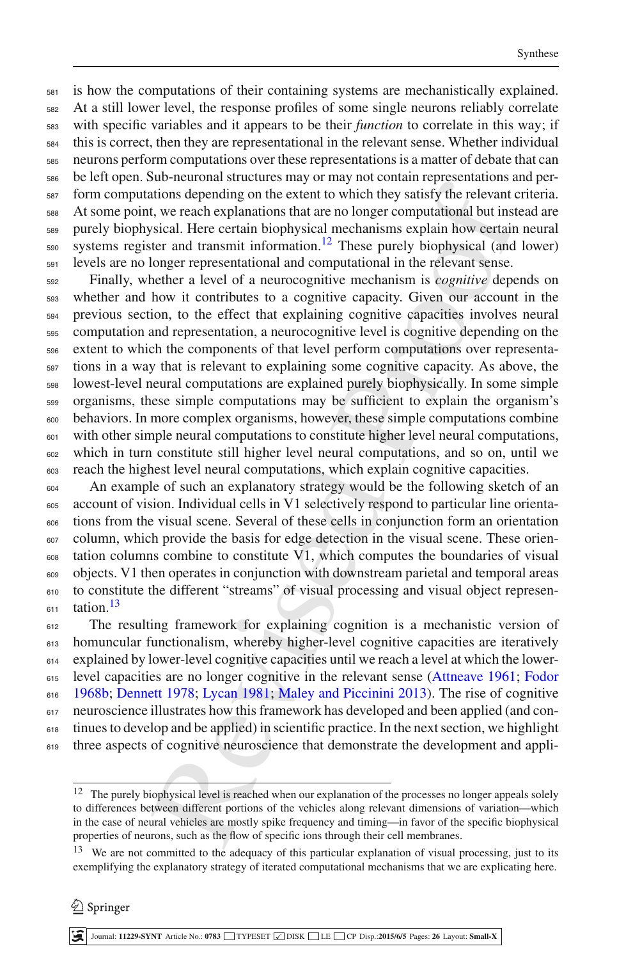is how the computations of their containing systems are mechanistically explained. At a still lower level, the response profiles of some single neurons reliably correlate with specific variables and it appears to be their *function* to correlate in this way; if this is correct, then they are representational in the relevant sense. Whether individual neurons perform computations over these representations is a matter of debate that can be left open. Sub-neuronal structures may or may not contain representations and per- form computations depending on the extent to which they satisfy the relevant criteria. At some point, we reach explanations that are no longer computational but instead are purely biophysical. Here certain biophysical mechanisms explain how certain neural s90 systems register and transmit information.<sup>[12](#page-15-0)</sup> These purely biophysical (and lower) levels are no longer representational and computational in the relevant sense.

not measured to the extern of the real and the productions depending on the extent to which they satisfy the rele[v](#page-23-19)ant counts of the relevant chirals of the relevant of the relevant of the relevant of the system and compar Finally, whether a level of a neurocognitive mechanism is *cognitive* depends on whether and how it contributes to a cognitive capacity. Given our account in the previous section, to the effect that explaining cognitive capacities involves neural computation and representation, a neurocognitive level is cognitive depending on the extent to which the components of that level perform computations over representa- tions in a way that is relevant to explaining some cognitive capacity. As above, the lowest-level neural computations are explained purely biophysically. In some simple organisms, these simple computations may be sufficient to explain the organism's behaviors. In more complex organisms, however, these simple computations combine with other simple neural computations to constitute higher level neural computations, which in turn constitute still higher level neural computations, and so on, until we reach the highest level neural computations, which explain cognitive capacities.

 An example of such an explanatory strategy would be the following sketch of an account of vision. Individual cells in V1 selectively respond to particular line orienta- tions from the visual scene. Several of these cells in conjunction form an orientation column, which provide the basis for edge detection in the visual scene. These orien- tation columns combine to constitute V1, which computes the boundaries of visual objects. V1 then operates in conjunction with downstream parietal and temporal areas to constitute the different "streams" of visual processing and visual object represen- $\epsilon_{11}$  tation.<sup>[13](#page-15-1)</sup>

 The resulting framework for explaining cognition is a mechanistic version of homuncular functionalism, whereby higher-level cognitive capacities are iteratively explained by lower-level cognitive capacities until we reach a level at which the lower- level capacities are no longer cognitive in the relevant sense [\(Attneave 1961;](#page-22-23) [Fodor](#page-23-3) [1968b;](#page-23-3) [Dennett](#page-22-24) 1978; Lycan 1981; Maley and Piccinini [2013](#page-23-19)). The rise of cognitive neuroscience illustrates how this framework has developed and been applied (and con- tinues to develop and be applied) in scientific practice. In the next section, we highlight three aspects of cognitive neuroscience that demonstrate the development and appli-

<span id="page-15-0"></span> The purely biophysical level is reached when our explanation of the processes no longer appeals solely to differences between different portions of the vehicles along relevant dimensions of variation—which in the case of neural vehicles are mostly spike frequency and timing—in favor of the specific biophysical properties of neurons, such as the flow of specific ions through their cell membranes.

<span id="page-15-1"></span><sup>&</sup>lt;sup>13</sup> We are not committed to the adequacy of this particular explanation of visual processing, just to its exemplifying the explanatory strategy of iterated computational mechanisms that we are explicating here.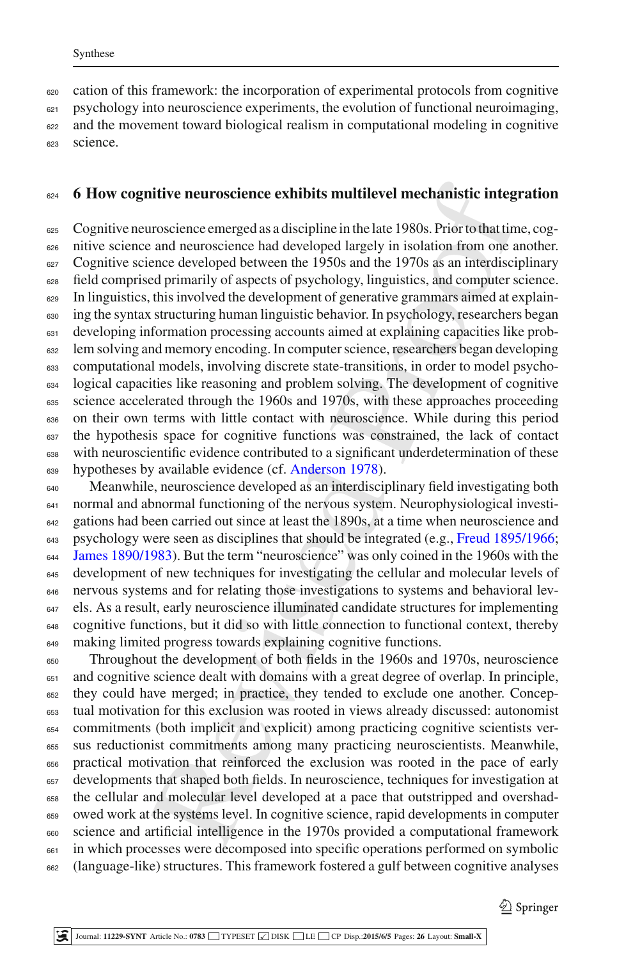cation of this framework: the incorporation of experimental protocols from cognitive psychology into neuroscience experiments, the evolution of functional neuroimaging, and the movement toward biological realism in computational modeling in cognitive 623 science.

#### **6 How cognitive neuroscience exhibits multilevel mechanistic integration**

<span id="page-16-0"></span>itive neuroscience exhibits multilevel mechanistic integr<br>
roscience emerge[d](#page-22-25) as a discipline in the late 1980s. Prior to that tim<br>
and neuroscience had developed largely in isolation from one a<br>
ence developed between the Cognitive neuroscience emerged as a discipline in the late 1980s. Prior to that time, cog- nitive science and neuroscience had developed largely in isolation from one another. <sup>627</sup> Cognitive science developed between the 1950s and the 1970s as an interdisciplinary field comprised primarily of aspects of psychology, linguistics, and computer science. In linguistics, this involved the development of generative grammars aimed at explain- ing the syntax structuring human linguistic behavior. In psychology, researchers began 631 developing information processing accounts aimed at explaining capacities like prob-<sup>632</sup> lem solving and memory encoding. In computer science, researchers began developing computational models, involving discrete state-transitions, in order to model psycho- logical capacities like reasoning and problem solving. The development of cognitive <sub>635</sub> science accelerated through the 1960s and 1970s, with these approaches proceeding on their own terms with little contact with neuroscience. While during this period the hypothesis space for cognitive functions was constrained, the lack of contact with neuroscientific evidence contributed to a significant underdetermination of these hypotheses by available evidence (cf. Anderson 1978).

 Meanwhile, neuroscience developed as an interdisciplinary field investigating both normal and abnormal functioning of the nervous system. Neurophysiological investi- gations had been carried out since at least the 1890s, at a time when neuroscience and 643 psychology were seen as disciplines that should be integrated (e.g., [Freud 1895/1966](#page-23-20); [James 1890/1983\)](#page-23-21). But the term "neuroscience" was only coined in the 1960s with the development of new techniques for investigating the cellular and molecular levels of nervous systems and for relating those investigations to systems and behavioral lev- els. As a result, early neuroscience illuminated candidate structures for implementing cognitive functions, but it did so with little connection to functional context, thereby making limited progress towards explaining cognitive functions.

 Throughout the development of both fields in the 1960s and 1970s, neuroscience <sup>651</sup> and cognitive science dealt with domains with a great degree of overlap. In principle, they could have merged; in practice, they tended to exclude one another. Concep- tual motivation for this exclusion was rooted in views already discussed: autonomist commitments (both implicit and explicit) among practicing cognitive scientists ver- sus reductionist commitments among many practicing neuroscientists. Meanwhile, practical motivation that reinforced the exclusion was rooted in the pace of early developments that shaped both fields. In neuroscience, techniques for investigation at the cellular and molecular level developed at a pace that outstripped and overshad- owed work at the systems level. In cognitive science, rapid developments in computer science and artificial intelligence in the 1970s provided a computational framework in which processes were decomposed into specific operations performed on symbolic (language-like) structures. This framework fostered a gulf between cognitive analyses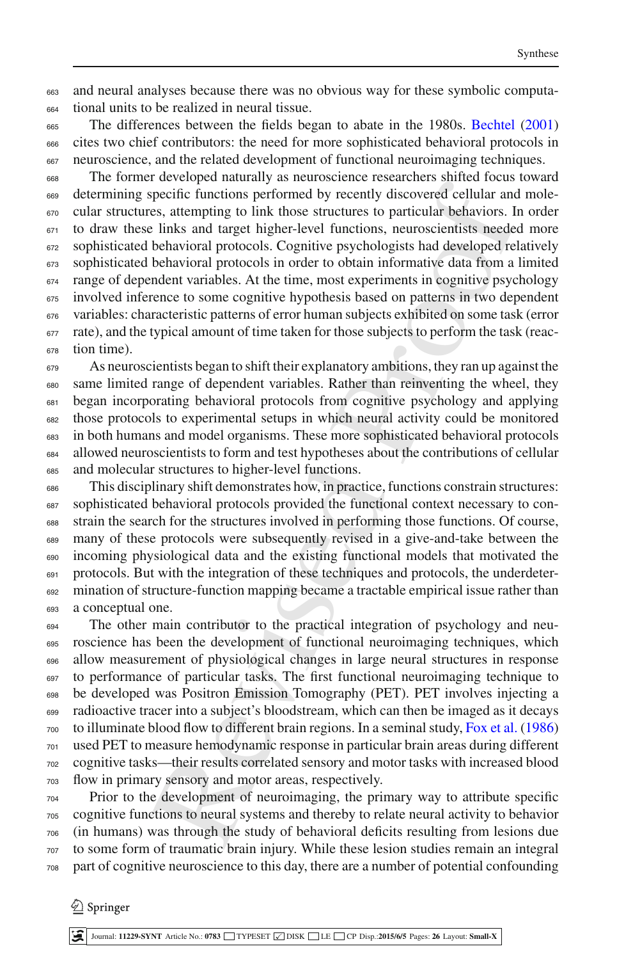and neural analyses because there was no obvious way for these symbolic computa-tional units to be realized in neural tissue.

 The differences between the fields began to abate in the 1980s. [Bechtel](#page-22-26) [\(2001\)](#page-22-26) cites two chief contributors: the need for more sophisticated behavioral protocols in neuroscience, and the related development of functional neuroimaging techniques.

access, attempting to link those structures to paramountations<br>of the mustamon performed by recently discovered dellular and<br>exects, attempting to link those structures to particular behaviors. It is<br>the banyional protocol The former developed naturally as neuroscience researchers shifted focus toward determining specific functions performed by recently discovered cellular and mole- cular structures, attempting to link those structures to particular behaviors. In order to draw these links and target higher-level functions, neuroscientists needed more sophisticated behavioral protocols. Cognitive psychologists had developed relatively sophisticated behavioral protocols in order to obtain informative data from a limited range of dependent variables. At the time, most experiments in cognitive psychology involved inference to some cognitive hypothesis based on patterns in two dependent variables: characteristic patterns of error human subjects exhibited on some task (error rate), and the typical amount of time taken for those subjects to perform the task (reac-tion time).

 As neuroscientists began to shift their explanatory ambitions, they ran up against the same limited range of dependent variables. Rather than reinventing the wheel, they began incorporating behavioral protocols from cognitive psychology and applying those protocols to experimental setups in which neural activity could be monitored in both humans and model organisms. These more sophisticated behavioral protocols allowed neuroscientists to form and test hypotheses about the contributions of cellular and molecular structures to higher-level functions.

 This disciplinary shift demonstrates how, in practice, functions constrain structures: sophisticated behavioral protocols provided the functional context necessary to con- strain the search for the structures involved in performing those functions. Of course, many of these protocols were subsequently revised in a give-and-take between the incoming physiological data and the existing functional models that motivated the protocols. But with the integration of these techniques and protocols, the underdeter- mination of structure-function mapping became a tractable empirical issue rather than a conceptual one.

 The other main contributor to the practical integration of psychology and neu- roscience has been the development of functional neuroimaging techniques, which allow measurement of physiological changes in large neural structures in response to performance of particular tasks. The first functional neuroimaging technique to be developed was Positron Emission Tomography (PET). PET involves injecting a radioactive tracer into a subject's bloodstream, which can then be imaged as it decays to illuminate blood flow to different brain regions. In a seminal study, [Fox et al.](#page-23-22) [\(1986\)](#page-23-22) used PET to measure hemodynamic response in particular brain areas during different cognitive tasks—their results correlated sensory and motor tasks with increased blood flow in primary sensory and motor areas, respectively.

 Prior to the development of neuroimaging, the primary way to attribute specific cognitive functions to neural systems and thereby to relate neural activity to behavior (in humans) was through the study of behavioral deficits resulting from lesions due to some form of traumatic brain injury. While these lesion studies remain an integral part of cognitive neuroscience to this day, there are a number of potential confounding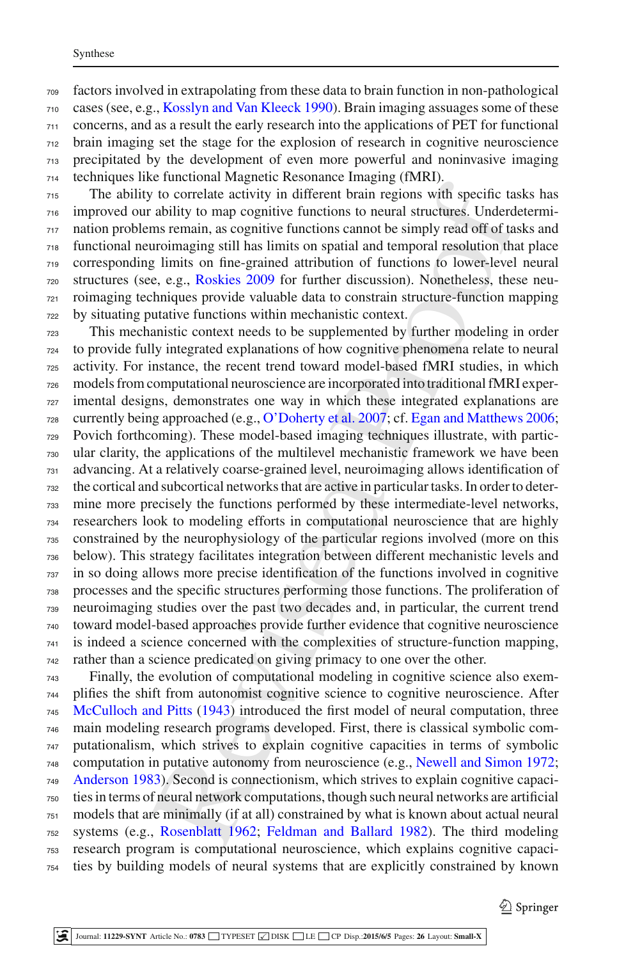factors involved in extrapolating from these data to brain function in non-pathological cases (see, e.g., [Kosslyn and Van Kleeck 1990](#page-23-23)). Brain imaging assuages some of these concerns, and as a result the early research into the applications of PET for functional brain imaging set the stage for the explosion of research in cognitive neuroscience precipitated by the development of even more powerful and noninvasive imaging techniques like functional Magnetic Resonance Imaging (fMRI).

 The ability to correlate activity in different brain regions with specific tasks has improved our ability to map cognitive functions to neural structures. Underdetermi- nation problems remain, as cognitive functions cannot be simply read off of tasks and functional neuroimaging still has limits on spatial and temporal resolution that place corresponding limits on fine-grained attribution of functions to lower-level neural structures (see, e.g., [Roskies 2009](#page-24-16) for further discussion). Nonetheless, these neu- roimaging techniques provide valuable data to constrain structure-function mapping by situating putative functions within mechanistic context.

[R](#page-24-20)[e](#page-24-18)vised [P](#page-24-17)roof This mechanistic context needs to be supplemented by further modeling in order to provide fully integrated explanations of how cognitive phenomena relate to neural activity. For instance, the recent trend toward model-based fMRI studies, in which models from computational neuroscience are incorporated into traditional fMRI exper- imental designs, demonstrates one way in which these integrated explanations are currently being approached (e.g., [O'Doherty et al.](#page-24-17) 2007; cf. Egan and Matthews [2006](#page-22-27); Povich forthcoming). These model-based imaging techniques illustrate, with partic- ular clarity, the applications of the multilevel mechanistic framework we have been advancing. At a relatively coarse-grained level, neuroimaging allows identification of the cortical and subcortical networks that are active in particular tasks. In order to deter- mine more precisely the functions performed by these intermediate-level networks, researchers look to modeling efforts in computational neuroscience that are highly constrained by the neurophysiology of the particular regions involved (more on this below). This strategy facilitates integration between different mechanistic levels and in so doing allows more precise identification of the functions involved in cognitive processes and the specific structures performing those functions. The proliferation of neuroimaging studies over the past two decades and, in particular, the current trend toward model-based approaches provide further evidence that cognitive neuroscience is indeed a science concerned with the complexities of structure-function mapping, rather than a science predicated on giving primacy to one over the other.

 Finally, the evolution of computational modeling in cognitive science also exem- plifies the shift from autonomist cognitive science to cognitive neuroscience. After [McCulloch and Pitts](#page-24-18) (1943) introduced the first model of neural computation, three main modeling research programs developed. First, there is classical symbolic com- putationalism, which strives to explain cognitive capacities in terms of symbolic computation in putative autonomy from neuroscience (e.g., [Newell and Simon 1972](#page-24-19); [Anderson 1983\)](#page-22-3). Second is connectionism, which strives to explain cognitive capaci- ties in terms of neural network computations, though such neural networks are artificial models that are minimally (if at all) constrained by what is known about actual neural systems (e.g., Rosenblatt 1962; Feldman and Ballard [1982](#page-23-24)). The third modeling research program is computational neuroscience, which explains cognitive capaci-ties by building models of neural systems that are explicitly constrained by known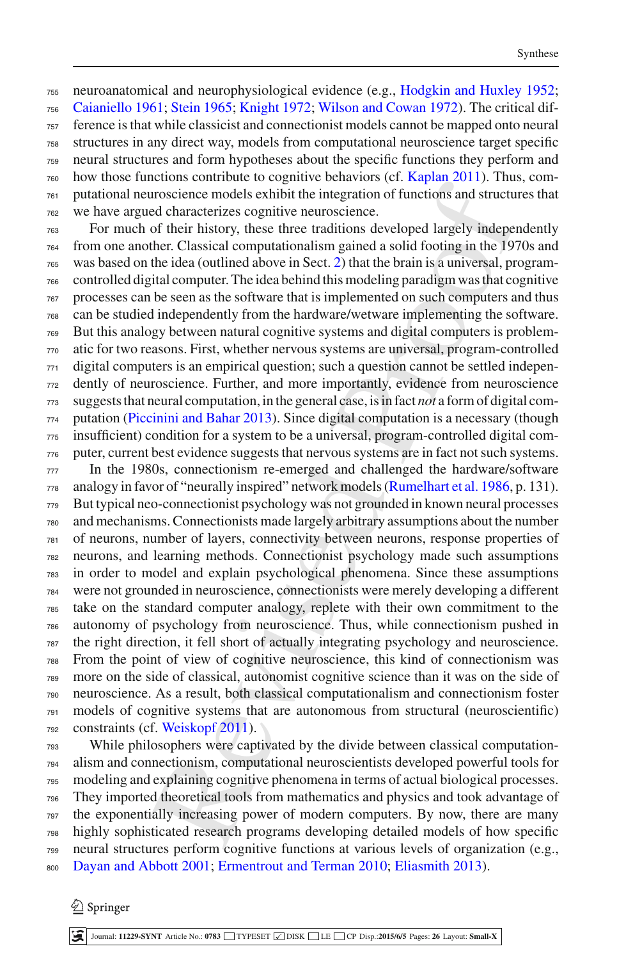neuroanatomical and neurophysiological evidence (e.g., [Hodgkin and Huxley 1952](#page-23-13); [Caianiello 1961;](#page-22-28) [Stein 1965](#page-25-12); [Knight 1972](#page-23-25); [Wilson and Cowan 1972](#page-25-13)). The critical dif- ference is that while classicist and connectionist models cannot be mapped onto neural structures in any direct way, models from computational neuroscience target specific neural structures and form hypotheses about the specific functions they perform and how those functions contribute to cognitive behaviors (cf. [Kaplan 2011](#page-23-11)). Thus, com- putational neuroscience models exhibit the integration of functions and structures that we have argued characterizes cognitive neuroscience.

 For much of their history, these three traditions developed largely independently from one another. Classical computationalism gained a solid footing in the 1970s and was based on the idea (outlined above in Sect. 2) that the brain is a universal, program- controlled digital computer. The idea behind this modeling paradigm was that cognitive processes can be seen as the software that is implemented on such computers and thus can be studied independently from the hardware/wetware implementing the software. But this analogy between natural cognitive systems and digital computers is problem- atic for two reasons. First, whether nervous systems are universal, program-controlled digital computers is an empirical question; such a question cannot be settled indepen- dently of neuroscience. Further, and more importantly, evidence from neuroscience suggests that neural computation, in the general case, is in fact *not* a form of digital com- putation [\(Piccinini and Bahar 2013\)](#page-24-21). Since digital computation is a necessary (though insufficient) condition for a system to be a universal, program-controlled digital com-puter, current best evidence suggests that nervous systems are in fact not such systems.

about on the distance is expended to the state of the productions and structure definance interest are considered that interest are the interest of their instyre, require the first of their instyre, respective neuroscience In the 1980s, connectionism re-emerged and challenged the hardware/software analogy in favor of "neurally inspired" network models [\(Rumelhart et al. 1986,](#page-24-22) p. 131). But typical neo-connectionist psychology was not grounded in known neural processes and mechanisms. Connectionists made largely arbitrary assumptions about the number of neurons, number of layers, connectivity between neurons, response properties of neurons, and learning methods. Connectionist psychology made such assumptions in order to model and explain psychological phenomena. Since these assumptions were not grounded in neuroscience, connectionists were merely developing a different take on the standard computer analogy, replete with their own commitment to the autonomy of psychology from neuroscience. Thus, while connectionism pushed in the right direction, it fell short of actually integrating psychology and neuroscience. From the point of view of cognitive neuroscience, this kind of connectionism was more on the side of classical, autonomist cognitive science than it was on the side of neuroscience. As a result, both classical computationalism and connectionism foster models of cognitive systems that are autonomous from structural (neuroscientific) constraints (cf. Weiskopf 2011).

 While philosophers were captivated by the divide between classical computation- alism and connectionism, computational neuroscientists developed powerful tools for modeling and explaining cognitive phenomena in terms of actual biological processes. They imported theoretical tools from mathematics and physics and took advantage of the exponentially increasing power of modern computers. By now, there are many highly sophisticated research programs developing detailed models of how specific neural structures perform cognitive functions at various levels of organization (e.g., [Dayan and Abbott 2001](#page-22-22); [Ermentrout and Terman 2010;](#page-22-29) [Eliasmith 2013\)](#page-23-26).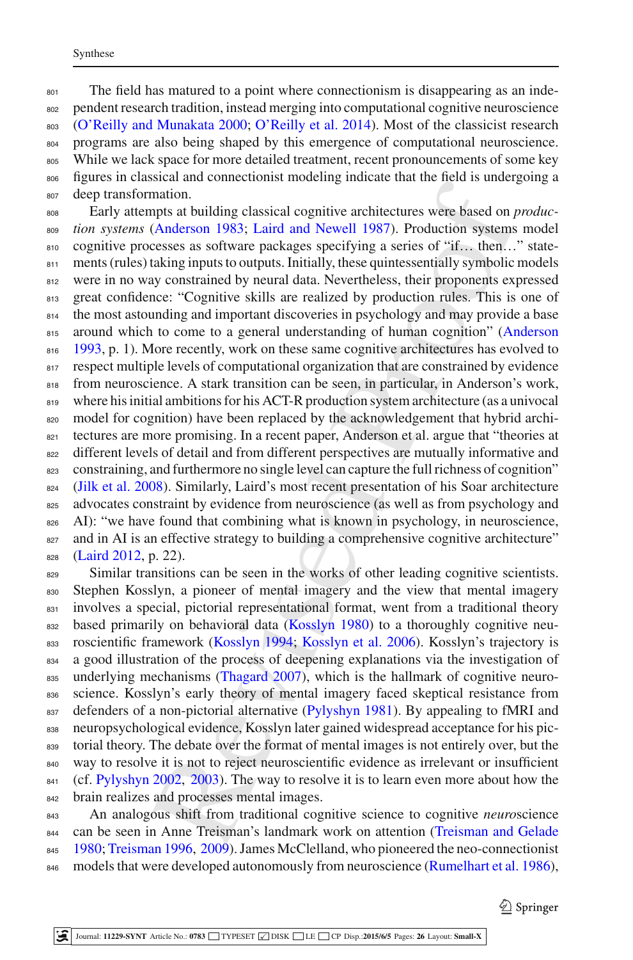The field has matured to a point where connectionism is disappearing as an inde- pendent research tradition, instead merging into computational cognitive neuroscience [\(O'Reilly and Munakata 2000;](#page-24-23) [O'Reilly et al. 2014\)](#page-24-24). Most of the classicist research programs are also being shaped by this emergence of computational neuroscience. While we lack space for more detailed treatment, recent pronouncements of some key figures in classical and connectionist modeling indicate that the field is undergoing a deep transformation.

mation.<br>
and introduction and only th[e](#page-24-27) same function and information.<br>
Analon. A conditing classical cogniti[v](#page-25-14)e arehitectures were based on p<br>
(Anderson 1983; Laird and Newell 1987). Production systems<br>
cresses as software <sup>808</sup> Early attempts at building classical cognitive architectures were based on *produc-*<sup>809</sup> *tion systems* [\(Anderson 1983;](#page-22-3) [Laird and Newell](#page-23-27) 1987). Production systems model 810 cognitive processes as software packages specifying a series of "if... then..." state-811 ments (rules) taking inputs to outputs. Initially, these quintessentially symbolic models <sup>812</sup> were in no way constrained by neural data. Nevertheless, their proponents expressed <sup>813</sup> great confidence: "Cognitive skills are realized by production rules. This is one of <sup>814</sup> the most astounding and important discoveries in psychology and may provide a base <sup>815</sup> around which to come to a general understanding of human cognition" [\(Anderson](#page-22-30) 816 [1993,](#page-22-30) p. 1). More recently, work on these same cognitive architectures has evolved to 817 respect multiple levels of computational organization that are constrained by evidence <sup>818</sup> from neuroscience. A stark transition can be seen, in particular, in Anderson's work, 819 where his initial ambitions for his ACT-R production system architecture (as a univocal 820 model for cognition) have been replaced by the acknowledgement that hybrid archi- $821$  tectures are more promising. In a recent paper, Anderson et al. argue that "theories at <sup>822</sup> different levels of detail and from different perspectives are mutually informative and <sup>823</sup> constraining, and furthermore no single level can capture the full richness of cognition" 824 [\(Jilk et al. 2008](#page-23-28)). Similarly, Laird's most recent presentation of his Soar architecture <sup>825</sup> advocates constraint by evidence from neuroscience (as well as from psychology and  $826$  AI): "we have found that combining what is known in psychology, in neuroscience, 827 and in AI is an effective strategy to building a comprehensive cognitive architecture" <sup>828</sup> [\(Laird 2012](#page-23-29), p. 22).

829 Similar transitions can be seen in the works of other leading cognitive scientists. 830 Stephen Kosslyn, a pioneer of mental imagery and the view that mental imagery 831 involves a special, pictorial representational format, went from a traditional theory 832 based primarily on behavioral data (Kosslyn 1980) to a thoroughly cognitive neu-<sup>833</sup> roscientific framework (Kosslyn 1994; Kosslyn et al. [2006\)](#page-23-32). Kosslyn's trajectory is 834 a good illustration of the process of deepening explanations via the investigation of <sup>835</sup> underlying mechanisms (Thagard 2007), which is the hallmark of cognitive neuro-836 science. Kosslyn's early theory of mental imagery faced skeptical resistance from 837 defenders of a non-pictorial alternative (Pylyshyn 1981). By appealing to fMRI and <sup>838</sup> neuropsychological evidence, Kosslyn later gained widespread acceptance for his pic-839 torial theory. The debate over the format of mental images is not entirely over, but the <sup>840</sup> way to resolve it is not to reject neuroscientific evidence as irrelevant or insufficient 841 (cf. [Pylyshyn](#page-24-26) 2002, 2003). The way to resolve it is to learn even more about how the 842 brain realizes and processes mental images.

 An analogous shift from traditional cognitive science to cognitive *neuro*science can be seen in Anne Treisman's landmark work on attention [\(Treisman and Gelade](#page-25-15) [1980;](#page-25-15) [Treisman 1996,](#page-25-16) [2009](#page-25-17)). James McClelland, who pioneered the neo-connectionist 846 models that were developed autonomously from neuroscience [\(Rumelhart et al. 1986](#page-24-22)),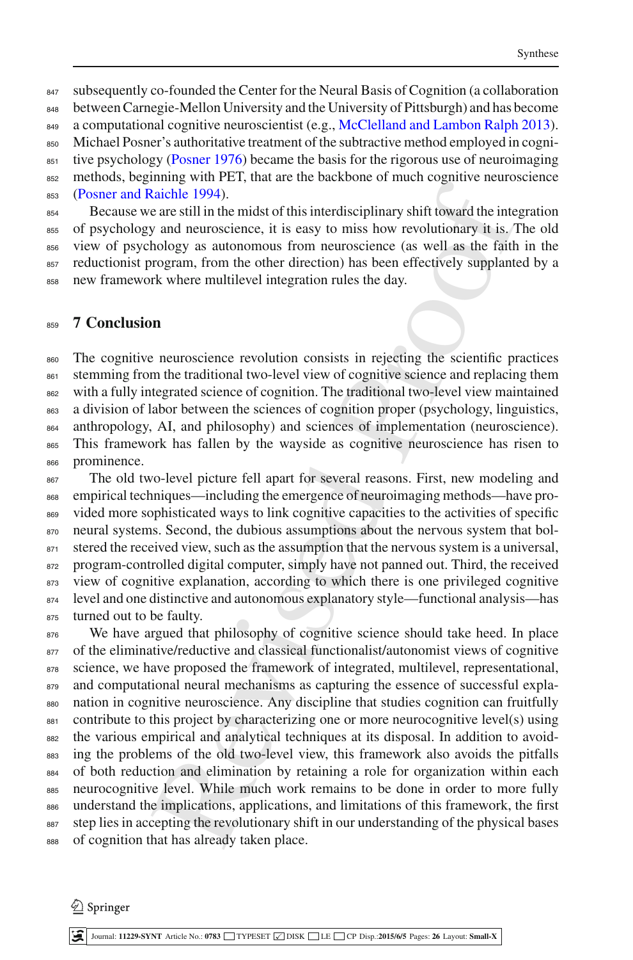847 subsequently co-founded the Center for the Neural Basis of Cognition (a collaboration <sup>848</sup> between Carnegie-Mellon University and the University of Pittsburgh) and has become 849 a computational cognitive neuroscientist (e.g., [McClelland and Lambon Ralph 2013](#page-24-28)). <sup>850</sup> Michael Posner's authoritative treatment of the subtractive method employed in cogni-<sup>851</sup> tive psychology [\(Posner 1976](#page-24-29)) became the basis for the rigorous use of neuroimaging <sup>852</sup> methods, beginning with PET, that are the backbone of much cognitive neuroscience 853 [\(Posner and Raichle 1994](#page-24-30)).

 Because we are still in the midst of this interdisciplinary shift toward the integration of psychology and neuroscience, it is easy to miss how revolutionary it is. The old view of psychology as autonomous from neuroscience (as well as the faith in the <sup>857</sup> reductionist program, from the other direction) has been effectively supplanted by a new framework where multilevel integration rules the day.

#### <sup>859</sup> **7 Conclusion**

 The cognitive neuroscience revolution consists in rejecting the scientific practices 861 stemming from the traditional two-level view of cognitive science and replacing them with a fully integrated science of cognition. The traditional two-level view maintained 863 a division of labor between the sciences of cognition proper (psychology, linguistics, anthropology, AI, and philosophy) and sciences of implementation (neuroscience). This framework has fallen by the wayside as cognitive neuroscience has risen to prominence.

<sup>867</sup> The old two-level picture fell apart for several reasons. First, new modeling and <sup>868</sup> empirical techniques—including the emergence of neuroimaging methods—have pro-<sup>869</sup> vided more sophisticated ways to link cognitive capacities to the activities of specific 870 neural systems. Second, the dubious assumptions about the nervous system that bol-<sup>871</sup> stered the received view, such as the assumption that the nervous system is a universal, 872 program-controlled digital computer, simply have not panned out. Third, the received 873 view of cognitive explanation, according to which there is one privileged cognitive  $874$  level and one distinctive and autonomous explanatory style—functional analysis—has <sup>875</sup> turned out to be faulty.

minarion and the middle of this interdsion in the case of the and and the production and and in the middle of this interdsionly shift toward the interdsion at some state and in the middle of this interdsion in the order di 876 We have argued that philosophy of cognitive science should take heed. In place <sup>877</sup> of the eliminative/reductive and classical functionalist/autonomist views of cognitive 878 science, we have proposed the framework of integrated, multilevel, representational, 879 and computational neural mechanisms as capturing the essence of successful expla-880 nation in cognitive neuroscience. Any discipline that studies cognition can fruitfully  $881$  contribute to this project by characterizing one or more neurocognitive level(s) using <sup>882</sup> the various empirical and analytical techniques at its disposal. In addition to avoid-<sup>883</sup> ing the problems of the old two-level view, this framework also avoids the pitfalls <sup>884</sup> of both reduction and elimination by retaining a role for organization within each <sup>885</sup> neurocognitive level. While much work remains to be done in order to more fully <sup>886</sup> understand the implications, applications, and limitations of this framework, the first 887 step lies in accepting the revolutionary shift in our understanding of the physical bases <sup>888</sup> of cognition that has already taken place.

≰ Springer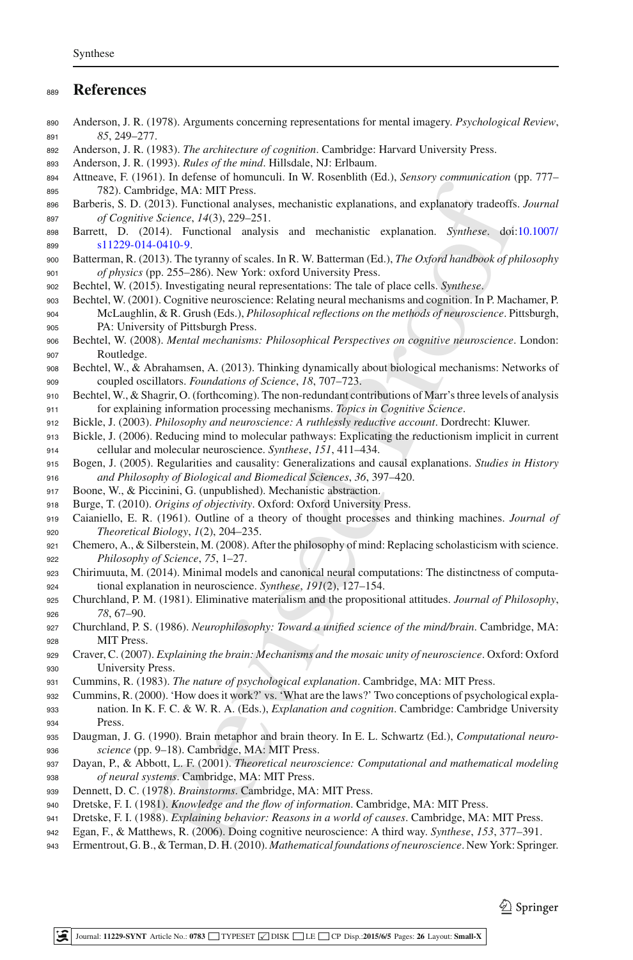#### <span id="page-22-0"></span>**References**

- <span id="page-22-25"></span> Anderson, J. R. (1978). Arguments concerning representations for mental imagery. *Psychological Review*, *85*, 249–277.
- <span id="page-22-3"></span>Anderson, J. R. (1983). *The architecture of cognition*. Cambridge: Harvard University Press.
- <span id="page-22-30"></span>Anderson, J. R. (1993). *Rules of the mind*. Hillsdale, NJ: Erlbaum.
- Attneave, F. (1961). In defense of homunculi. In W. Rosenblith (Ed.), *Sensory communication* (pp. 777– 782). Cambridge, MA: MIT Press.
- <span id="page-22-18"></span> Barberis, S. D. (2013). Functional analyses, mechanistic explanations, and explanatory tradeoffs. *Journal of Cognitive Science*, *14*(3), 229–251.
- <span id="page-22-19"></span> Barrett, D. (2014). Functional analysis and mechanistic explanation. *Synthese*. doi[:10.1007/](http://dx.doi.org/10.1007/s11229-014-0410-9) [s11229-014-0410-9.](http://dx.doi.org/10.1007/s11229-014-0410-9)
- <span id="page-22-21"></span> Batterman, R. (2013). The tyranny of scales. In R. W. Batterman (Ed.), *The Oxford handbook of philosophy of physics* (pp. 255–286). New York: oxford University Press.
- <span id="page-22-26"></span><span id="page-22-15"></span>Bechtel, W. (2015). Investigating neural representations: The tale of place cells. *Synthese*.
- <span id="page-22-23"></span>ridge, MA. MIT Pess.<br>
Mich Mass, Mart Pess. Including the proparations, and explanations (and explanations). Functional analyses, mechanistic explanations, and explanation (*MC)*,  $25$ ,  $25$ ,  $25$ ,  $25$ ,  $25$ ,  $25$ ,  $25$ , Bechtel, W. (2001). Cognitive neuroscience: Relating neural mechanisms and cognition. In P. Machamer, P. McLaughlin, & R. Grush (Eds.), *Philosophical reflections on the methods of neuroscience*. Pittsburgh, PA: University of Pittsburgh Press.
- <span id="page-22-12"></span> Bechtel, W. (2008). *Mental mechanisms: Philosophical Perspectives on cognitive neuroscience*. London: Routledge.
- <span id="page-22-14"></span> Bechtel, W., & Abrahamsen, A. (2013). Thinking dynamically about biological mechanisms: Networks of coupled oscillators. *Foundations of Science*, *18*, 707–723.
- Bechtel, W., & Shagrir, O. (forthcoming). The non-redundant contributions of Marr's three levels of analysis for explaining information processing mechanisms. *Topics in Cognitive Science*.
- <span id="page-22-9"></span>Bickle, J. (2003). *Philosophy and neuroscience: A ruthlessly reductive account*. Dordrecht: Kluwer.
- <span id="page-22-10"></span> Bickle, J. (2006). Reducing mind to molecular pathways: Explicating the reductionism implicit in current cellular and molecular neuroscience. *Synthese*, *151*, 411–434.
- <span id="page-22-20"></span> Bogen, J. (2005). Regularities and causality: Generalizations and causal explanations. *Studies in History and Philosophy of Biological and Biomedical Sciences*, *36*, 397–420.
- Boone, W., & Piccinini, G. (unpublished). Mechanistic abstraction.
- <span id="page-22-1"></span>Burge, T. (2010). *Origins of objectivity*. Oxford: Oxford University Press.
- <span id="page-22-28"></span> Caianiello, E. R. (1961). Outline of a theory of thought processes and thinking machines. *Journal of Theoretical Biology*, *1*(2), 204–235.
- <span id="page-22-13"></span> Chemero, A., & Silberstein, M. (2008). After the philosophy of mind: Replacing scholasticism with science. *Philosophy of Science*, *75*, 1–27.
- <span id="page-22-2"></span> Chirimuuta, M. (2014). Minimal models and canonical neural computations: The distinctness of computa-tional explanation in neuroscience. *Synthese*, *191*(2), 127–154.
- <span id="page-22-7"></span> Churchland, P. M. (1981). Eliminative materialism and the propositional attitudes. *Journal of Philosophy*, *78*, 67–90.
- <span id="page-22-8"></span> Churchland, P. S. (1986). *Neurophilosophy: Toward a unified science of the mind/brain*. Cambridge, MA: MIT Press.
- <span id="page-22-11"></span> Craver, C. (2007). *Explaining the brain: Mechanisms and the mosaic unity of neuroscience*. Oxford: Oxford University Press.
- <span id="page-22-4"></span>Cummins, R. (1983). *The nature of psychological explanation*. Cambridge, MA: MIT Press.
- <span id="page-22-6"></span> Cummins, R. (2000). 'How does it work?' vs. 'What are the laws?' Two conceptions of psychological expla- nation. In K. F. C. & W. R. A. (Eds.), *Explanation and cognition*. Cambridge: Cambridge University Press.
- <span id="page-22-5"></span> Daugman, J. G. (1990). Brain metaphor and brain theory. In E. L. Schwartz (Ed.), *Computational neuro-science* (pp. 9–18). Cambridge, MA: MIT Press.
- <span id="page-22-22"></span> Dayan, P., & Abbott, L. F. (2001). *Theoretical neuroscience: Computational and mathematical modeling of neural systems*. Cambridge, MA: MIT Press.
- <span id="page-22-24"></span>Dennett, D. C. (1978). *Brainstorms*. Cambridge, MA: MIT Press.
- <span id="page-22-16"></span>Dretske, F. I. (1981). *Knowledge and the flow of information*. Cambridge, MA: MIT Press.
- <span id="page-22-17"></span>Dretske, F. I. (1988). *Explaining behavior: Reasons in a world of causes*. Cambridge, MA: MIT Press.
- <span id="page-22-27"></span>Egan, F., & Matthews, R. (2006). Doing cognitive neuroscience: A third way. *Synthese*, *153*, 377–391.
- <span id="page-22-29"></span>Ermentrout, G. B., & Terman, D. H. (2010). *Mathematical foundations of neuroscience*. New York: Springer.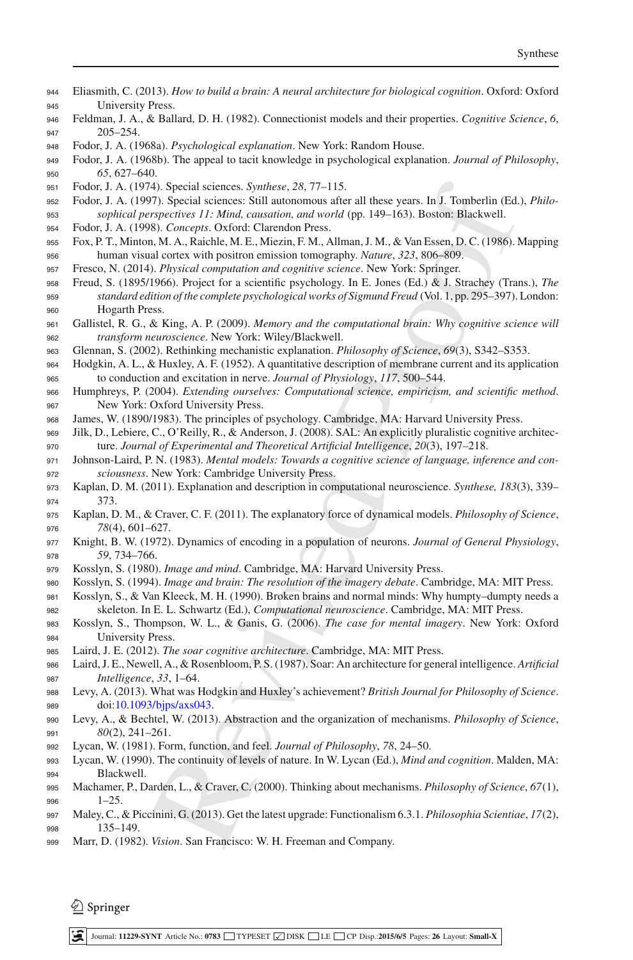<span id="page-23-26"></span><span id="page-23-24"></span><span id="page-23-22"></span><span id="page-23-20"></span><span id="page-23-17"></span><span id="page-23-16"></span><span id="page-23-8"></span><span id="page-23-4"></span><span id="page-23-3"></span><span id="page-23-1"></span><span id="page-23-0"></span>

| 944<br>945 | Eliasmith, C. (2013). How to build a brain: A neural architecture for biological cognition. Oxford: Oxford<br>University Press. |
|------------|---------------------------------------------------------------------------------------------------------------------------------|
| 946        | Feldman, J. A., & Ballard, D. H. (1982). Connectionist models and their properties. Cognitive Science, 6,<br>205–254.           |
| 947        | Fodor, J. A. (1968a). Psychological explanation. New York: Random House.                                                        |
| 948        | Fodor, J. A. (1968b). The appeal to tacit knowledge in psychological explanation. Journal of Philosophy,                        |
| 949        | 65, 627-640.                                                                                                                    |
| 950        | Fodor, J. A. (1974). Special sciences. Synthese, 28, 77-115.                                                                    |
| 951        | Fodor, J. A. (1997). Special sciences: Still autonomous after all these years. In J. Tomberlin (Ed.), <i>Philo-</i>             |
| 952        | sophical perspectives 11: Mind, causation, and world (pp. 149–163). Boston: Blackwell.                                          |
| 953        | Fodor, J. A. (1998). Concepts. Oxford: Clarendon Press.                                                                         |
| 954<br>955 | Fox, P. T., Minton, M. A., Raichle, M. E., Miezin, F. M., Allman, J. M., & Van Essen, D. C. (1986). Mapping                     |
| 956        | human visual cortex with positron emission tomography. Nature, 323, 806-809.                                                    |
| 957        | Fresco, N. (2014). Physical computation and cognitive science. New York: Springer.                                              |
| 958        | Freud, S. (1895/1966). Project for a scientific psychology. In E. Jones (Ed.) & J. Strachey (Trans.), The                       |
| 959        | standard edition of the complete psychological works of Sigmund Freud (Vol. 1, pp. 295–397). London:                            |
| 960        | Hogarth Press.                                                                                                                  |
| 961        | Gallistel, R. G., & King, A. P. (2009). Memory and the computational brain: Why cognitive science will                          |
| 962        | transform neuroscience. New York: Wiley/Blackwell.                                                                              |
| 963        | Glennan, S. (2002). Rethinking mechanistic explanation. Philosophy of Science, 69(3), S342-S353.                                |
| 964        | Hodgkin, A. L., & Huxley, A. F. (1952). A quantitative description of membrane current and its application                      |
| 965        | to conduction and excitation in nerve. Journal of Physiology, 117, 500-544.                                                     |
| 966        | Humphreys, P. (2004). Extending ourselves: Computational science, empiricism, and scientific method.                            |
| 967        | New York: Oxford University Press.                                                                                              |
| 968        | James, W. (1890/1983). The principles of psychology. Cambridge, MA: Harvard University Press.                                   |
| 969        | Jilk, D., Lebiere, C., O'Reilly, R., & Anderson, J. (2008). SAL: An explicitly pluralistic cognitive architec-                  |
| 970        | ture. Journal of Experimental and Theoretical Artificial Intelligence, 20(3), 197-218.                                          |
| 971        | Johnson-Laird, P. N. (1983). Mental models: Towards a cognitive science of language, inference and con-                         |
| 972        | sciousness. New York: Cambridge University Press.                                                                               |
| 973        | Kaplan, D. M. (2011). Explanation and description in computational neuroscience. Synthese, 183(3), 339–                         |
| 974        | 373.                                                                                                                            |
| 975        | Kaplan, D. M., & Craver, C. F. (2011). The explanatory force of dynamical models. Philosophy of Science,                        |
| 976        | 78(4), 601–627.                                                                                                                 |
| 977        | Knight, B. W. (1972). Dynamics of encoding in a population of neurons. Journal of General Physiology,                           |
| 978        | 59, 734–766.                                                                                                                    |
| 979        | Kosslyn, S. (1980). Image and mind. Cambridge, MA: Harvard University Press.                                                    |
| 980        | Kosslyn, S. (1994). Image and brain: The resolution of the imagery debate. Cambridge, MA: MIT Press.                            |
| 981        | Kosslyn, S., & Van Kleeck, M. H. (1990). Broken brains and normal minds: Why humpty-dumpty needs a                              |
| 982        | skeleton. In E. L. Schwartz (Ed.), Computational neuroscience. Cambridge, MA: MIT Press.                                        |
| 983        | Kosslyn, S., Thompson, W. L., & Ganis, G. (2006). The case for mental imagery. New York: Oxford                                 |
| 984        | University Press.                                                                                                               |
| 985        | Laird, J. E. (2012). The soar cognitive architecture. Cambridge, MA: MIT Press.                                                 |
| 986        | Laird, J. E., Newell, A., & Rosenbloom, P. S. (1987). Soar: An architecture for general intelligence. Artificial                |
| 987        | Intelligence, 33, 1-64.                                                                                                         |
| 988        | Levy, A. (2013). What was Hodgkin and Huxley's achievement? British Journal for Philosophy of Science.                          |
| 989        | $doi:10.1093/bips/axs043$ .                                                                                                     |
| 990        | Levy, A., & Bechtel, W. (2013). Abstraction and the organization of mechanisms. Philosophy of Science,                          |
| 991        | $80(2)$ , 241-261.<br>Lycan, W. (1981). Form, function, and feel. Journal of Philosophy, 78, 24-50.                             |
| 992<br>993 | Lycan, W. (1990). The continuity of levels of nature. In W. Lycan (Ed.), <i>Mind and cognition</i> . Malden, MA:                |
| 994        | Blackwell.                                                                                                                      |
| 995        | Machamer, P., Darden, L., & Craver, C. (2000). Thinking about mechanisms. Philosophy of Science, 67(1),                         |
| 996        | $1 - 25.$                                                                                                                       |
| 997        | Maley, C., & Piccinini, G. (2013). Get the latest upgrade: Functionalism 6.3.1. Philosophia Scientiae, 17(2),                   |
| 998        | $135 - 149.$                                                                                                                    |
| 999        | Marr, D. (1982). Vision. San Francisco: W. H. Freeman and Company.                                                              |

- <span id="page-23-31"></span><span id="page-23-30"></span><span id="page-23-28"></span><span id="page-23-25"></span><span id="page-23-23"></span><span id="page-23-21"></span><span id="page-23-14"></span><span id="page-23-13"></span><span id="page-23-11"></span><span id="page-23-7"></span><span id="page-23-6"></span><span id="page-23-2"></span> Kosslyn, S., & Van Kleeck, M. H. (1990). Broken brains and normal minds: Why humpty–dumpty needs a skeleton. In E. L. Schwartz (Ed.), *Computational neuroscience*. Cambridge, MA: MIT Press.
- <span id="page-23-32"></span> Kosslyn, S., Thompson, W. L., & Ganis, G. (2006). *The case for mental imagery*. New York: Oxford University Press.
- <span id="page-23-29"></span>Laird, J. E. (2012). *The soar cognitive architecture*. Cambridge, MA: MIT Press.
- <span id="page-23-27"></span> Laird, J. E., Newell, A., & Rosenbloom, P. S. (1987). Soar: An architecture for general intelligence. *Artificial Intelligence*, *33*, 1–64.
- <span id="page-23-10"></span> Levy, A. (2013). What was Hodgkin and Huxley's achievement? *British Journal for Philosophy of Science*. 989 doi[:10.1093/bjps/axs043.](http://dx.doi.org/10.1093/bjps/axs043)
- <span id="page-23-9"></span> Levy, A., & Bechtel, W. (2013). Abstraction and the organization of mechanisms. *Philosophy of Science*, *80*(2), 241–261.
- <span id="page-23-18"></span>Lycan, W. (1981). Form, function, and feel. *Journal of Philosophy*, *78*, 24–50.
- <span id="page-23-15"></span> Lycan, W. (1990). The continuity of levels of nature. In W. Lycan (Ed.), *Mind and cognition*. Malden, MA: Blackwell.
- <span id="page-23-12"></span> Machamer, P., Darden, L., & Craver, C. (2000). Thinking about mechanisms. *Philosophy of Science*, *67*(1), 1–25.
- <span id="page-23-19"></span> Maley, C., & Piccinini, G. (2013). Get the latest upgrade: Functionalism 6.3.1. *Philosophia Scientiae*, *17*(2), 135–149.
- <span id="page-23-5"></span>Marr, D. (1982). *Vision*. San Francisco: W. H. Freeman and Company.

 $\textcircled{2}$  Springer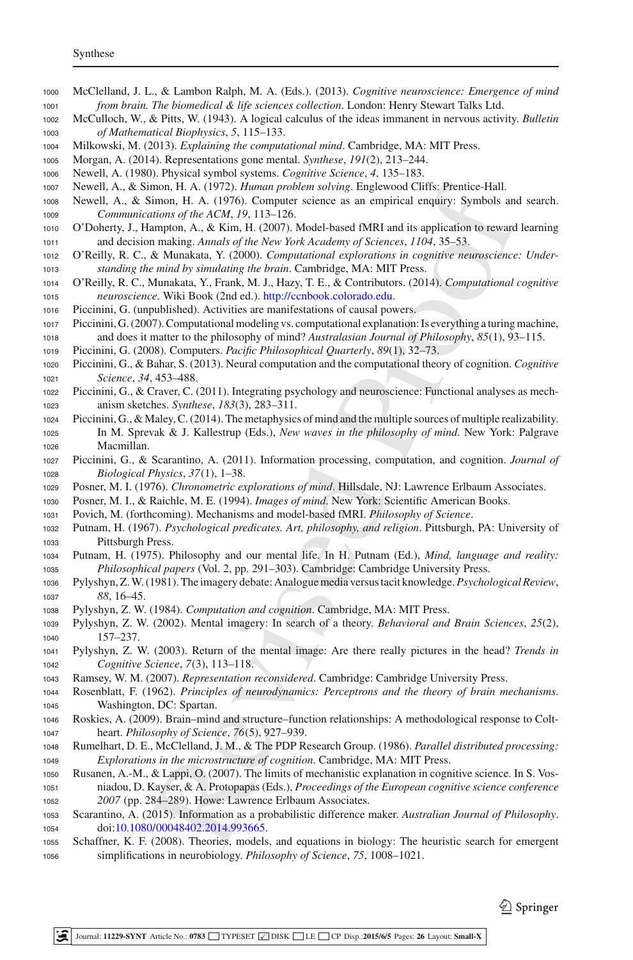- <span id="page-24-28"></span> McClelland, J. L., & Lambon Ralph, M. A. (Eds.). (2013). *Cognitive neuroscience: Emergence of mind from brain. The biomedical & life sciences collection*. London: Henry Stewart Talks Ltd.
- <span id="page-24-18"></span> McCulloch, W., & Pitts, W. (1943). A logical calculus of the ideas immanent in nervous activity. *Bulletin of Mathematical Biophysics*, *5*, 115–133.
- <span id="page-24-10"></span>Milkowski, M. (2013). *Explaining the computational mind*. Cambridge, MA: MIT Press.
- <span id="page-24-9"></span>Morgan, A. (2014). Representations gone mental. *Synthese*, *191*(2), 213–244.
- <span id="page-24-5"></span>Newell, A. (1980). Physical symbol systems. *Cognitive Science*, *4*, 135–183.
- Newell, A., & Simon, H. A. (1972). *Human problem solving*. Englewood Cliffs: Prentice-Hall.
- <span id="page-24-1"></span> Newell, A., & Simon, H. A. (1976). Computer science as an empirical enquiry: Symbols and search. *Communications of the ACM*, *19*, 113–126.
- <span id="page-24-17"></span> O'Doherty, J., Hampton, A., & Kim, H. (2007). Model-based fMRI and its application to reward learning and decision making. *Annals of the New York Academy of Sciences*, *1104*, 35–53.
- <span id="page-24-23"></span> O'Reilly, R. C., & Munakata, Y. (2000). *Computational explorations in cognitive neuroscience: Under-standing the mind by simulating the brain*. Cambridge, MA: MIT Press.
- <span id="page-24-24"></span> O'Reilly, R. C., Munakata, Y., Frank, M. J., Hazy, T. E., & Contributors. (2014). *Computational cognitive neuroscience*. Wiki Book (2nd ed.). [http://ccnbook.colorado.edu.](http://ccnbook.colorado.edu)
- Piccinini, G. (unpublished). Activities are manifestations of causal powers.
- <span id="page-24-13"></span> Piccinini, G. (2007). Computational modeling vs. computational explanation: Is everything a turing machine, and does it matter to the philosophy of mind? *Australasian Journal of Philosophy*, *85*(1), 93–115.
- <span id="page-24-3"></span>Piccinini, G. (2008). Computers. *Pacific Philosophical Quarterly*, *89*(1), 32–73.
- <span id="page-24-21"></span> Piccinini, G., & Bahar, S. (2013). Neural computation and the computational theory of cognition. *Cognitive Science*, *34*, 453–488.
- <span id="page-24-15"></span><span id="page-24-11"></span> Piccinini, G., & Craver, C. (2011). Integrating psychology and neuroscience: Functional analyses as mech-anism sketches. *Synthese*, *183*(3), 283–311.
- <span id="page-24-19"></span>mon. H. A. (1972). Human problem solving. Englewood Cliffs. Prentice-Hall.<br>
nimon, H. A. (1975). Computer science as an empirical englisy: Symbols and<br>
nimon, H. A. (1976). Computer science as an empirical englisy: Symbols Piccinini, G., & Maley, C. (2014). The metaphysics of mind and the multiple sources of multiple realizability. In M. Sprevak & J. Kallestrup (Eds.), *New waves in the philosophy of mind*. New York: Palgrave Macmillan.
- <span id="page-24-7"></span> Piccinini, G., & Scarantino, A. (2011). Information processing, computation, and cognition. *Journal of Biological Physics*, *37*(1), 1–38.
- <span id="page-24-29"></span>Posner, M. I. (1976). *Chronometric explorations of mind*. Hillsdale, NJ: Lawrence Erlbaum Associates.
- <span id="page-24-30"></span>Posner, M. I., & Raichle, M. E. (1994). *Images of mind*. New York: Scientific American Books.
- Povich, M. (forthcoming). Mechanisms and model-based fMRI. *Philosophy of Science*.
- <span id="page-24-14"></span> Putnam, H. (1967). *Psychological predicates. Art, philosophy, and religion*. Pittsburgh, PA: University of Pittsburgh Press.
- <span id="page-24-4"></span> Putnam, H. (1975). Philosophy and our mental life. In H. Putnam (Ed.), *Mind, language and reality: Philosophical papers* (Vol. 2, pp. 291–303). Cambridge: Cambridge University Press.
- <span id="page-24-25"></span> Pylyshyn, Z.W. (1981). The imagery debate: Analogue media versus tacit knowledge.*Psychological Review*, *88*, 16–45.
- <span id="page-24-2"></span>Pylyshyn, Z. W. (1984). *Computation and cognition*. Cambridge, MA: MIT Press.
- <span id="page-24-26"></span> Pylyshyn, Z. W. (2002). Mental imagery: In search of a theory. *Behavioral and Brain Sciences*, *25*(2), 157–237.
- <span id="page-24-27"></span> Pylyshyn, Z. W. (2003). Return of the mental image: Are there really pictures in the head? *Trends in Cognitive Science*, *7*(3), 113–118.
- <span id="page-24-6"></span>Ramsey, W. M. (2007). *Representation reconsidered*. Cambridge: Cambridge University Press.
- <span id="page-24-20"></span> Rosenblatt, F. (1962). *Principles of neurodynamics: Perceptrons and the theory of brain mechanisms*. Washington, DC: Spartan.
- <span id="page-24-16"></span> Roskies, A. (2009). Brain–mind and structure–function relationships: A methodological response to Colt-heart. *Philosophy of Science*, *76*(5), 927–939.
- <span id="page-24-22"></span> Rumelhart, D. E., McClelland, J. M., & The PDP Research Group. (1986). *Parallel distributed processing: Explorations in the microstructure of cognition*. Cambridge, MA: MIT Press.
- <span id="page-24-0"></span> Rusanen, A.-M., & Lappi, O. (2007). The limits of mechanistic explanation in cognitive science. In S. Vos- niadou, D. Kayser, & A. Protopapas (Eds.), *Proceedings of the European cognitive science conference 2007* (pp. 284–289). Howe: Lawrence Erlbaum Associates.
- <span id="page-24-8"></span> Scarantino, A. (2015). Information as a probabilistic difference maker. *Australian Journal of Philosophy*. 1054 doi[:10.1080/00048402.2014.993665.](http://dx.doi.org/10.1080/00048402.2014.993665)
- <span id="page-24-12"></span> Schaffner, K. F. (2008). Theories, models, and equations in biology: The heuristic search for emergent simplifications in neurobiology. *Philosophy of Science*, *75*, 1008–1021.